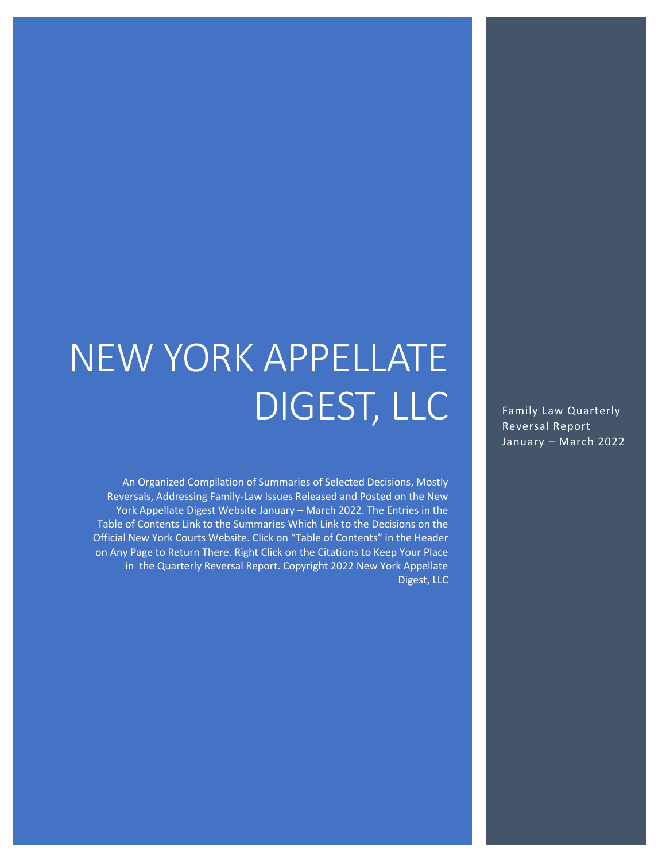# NEW YORK APPELLATE DIGEST, LLC

An Organized Compilation of Summaries of Selected Decisions, Mostly Reversals, Addressing Family-Law Issues Released and Posted on the New York Appellate Digest Website January – March 2022. The Entries in the Table of Contents Link to the Summaries Which Link to the Decisions on the Official New York Courts Website. Click on "Table of Contents" in the Header on Any Page to Return There. Right Click on the Citations to Keep Your Place in the Quarterly Reversal Report. Copyright 2022 New York Appellate Digest, LLC

Family Law Quarterly Reversal Report January – March 2022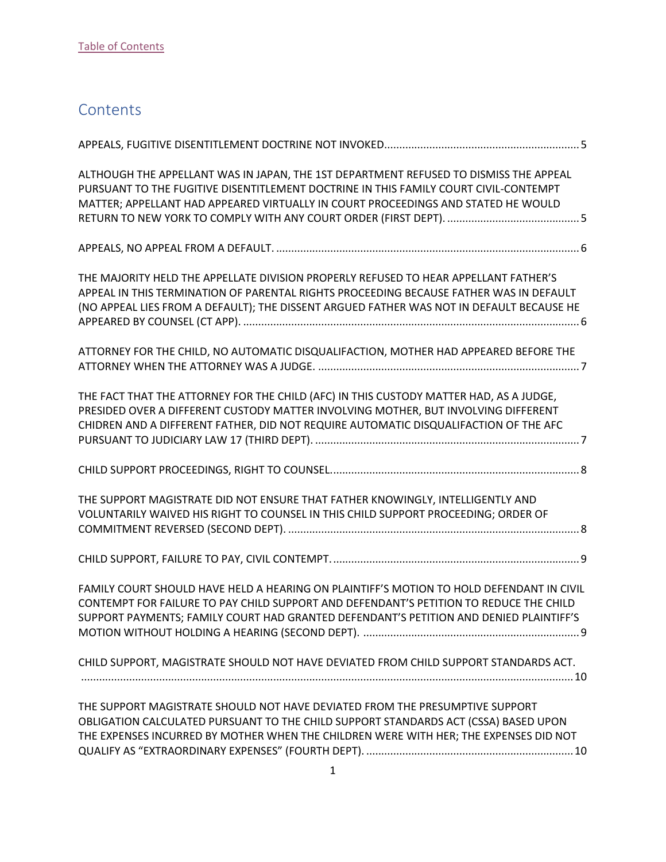## <span id="page-1-0"></span>**Contents**

| ALTHOUGH THE APPELLANT WAS IN JAPAN, THE 1ST DEPARTMENT REFUSED TO DISMISS THE APPEAL<br>PURSUANT TO THE FUGITIVE DISENTITLEMENT DOCTRINE IN THIS FAMILY COURT CIVIL-CONTEMPT<br>MATTER; APPELLANT HAD APPEARED VIRTUALLY IN COURT PROCEEDINGS AND STATED HE WOULD           |
|------------------------------------------------------------------------------------------------------------------------------------------------------------------------------------------------------------------------------------------------------------------------------|
|                                                                                                                                                                                                                                                                              |
| THE MAJORITY HELD THE APPELLATE DIVISION PROPERLY REFUSED TO HEAR APPELLANT FATHER'S<br>APPEAL IN THIS TERMINATION OF PARENTAL RIGHTS PROCEEDING BECAUSE FATHER WAS IN DEFAULT<br>(NO APPEAL LIES FROM A DEFAULT); THE DISSENT ARGUED FATHER WAS NOT IN DEFAULT BECAUSE HE   |
| ATTORNEY FOR THE CHILD, NO AUTOMATIC DISQUALIFACTION, MOTHER HAD APPEARED BEFORE THE                                                                                                                                                                                         |
| THE FACT THAT THE ATTORNEY FOR THE CHILD (AFC) IN THIS CUSTODY MATTER HAD, AS A JUDGE,<br>PRESIDED OVER A DIFFERENT CUSTODY MATTER INVOLVING MOTHER, BUT INVOLVING DIFFERENT<br>CHIDREN AND A DIFFERENT FATHER, DID NOT REQUIRE AUTOMATIC DISQUALIFACTION OF THE AFC         |
|                                                                                                                                                                                                                                                                              |
| THE SUPPORT MAGISTRATE DID NOT ENSURE THAT FATHER KNOWINGLY, INTELLIGENTLY AND<br>VOLUNTARILY WAIVED HIS RIGHT TO COUNSEL IN THIS CHILD SUPPORT PROCEEDING; ORDER OF                                                                                                         |
|                                                                                                                                                                                                                                                                              |
| FAMILY COURT SHOULD HAVE HELD A HEARING ON PLAINTIFF'S MOTION TO HOLD DEFENDANT IN CIVIL<br>CONTEMPT FOR FAILURE TO PAY CHILD SUPPORT AND DEFENDANT'S PETITION TO REDUCE THE CHILD<br>SUPPORT PAYMENTS; FAMILY COURT HAD GRANTED DEFENDANT'S PETITION AND DENIED PLAINTIFF'S |
| CHILD SUPPORT, MAGISTRATE SHOULD NOT HAVE DEVIATED FROM CHILD SUPPORT STANDARDS ACT.                                                                                                                                                                                         |
| THE SUPPORT MAGISTRATE SHOULD NOT HAVE DEVIATED FROM THE PRESUMPTIVE SUPPORT<br>OBLIGATION CALCULATED PURSUANT TO THE CHILD SUPPORT STANDARDS ACT (CSSA) BASED UPON<br>THE EXPENSES INCURRED BY MOTHER WHEN THE CHILDREN WERE WITH HER; THE EXPENSES DID NOT                 |

[QUALIFY AS "EXTRAORDINARY EXPENSES" \(FOURTH DEPT\).](#page-10-1) .....................................................................10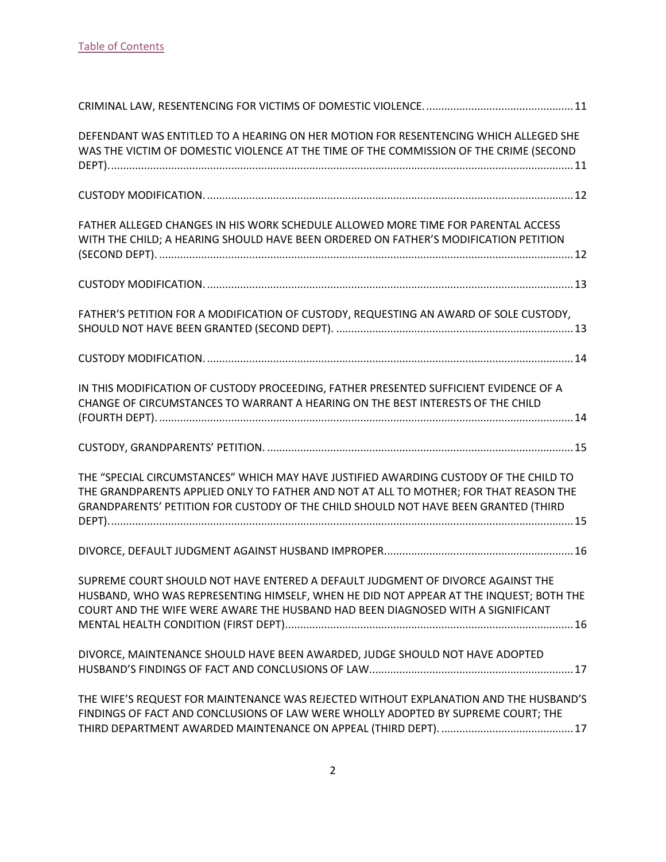| DEFENDANT WAS ENTITLED TO A HEARING ON HER MOTION FOR RESENTENCING WHICH ALLEGED SHE<br>WAS THE VICTIM OF DOMESTIC VIOLENCE AT THE TIME OF THE COMMISSION OF THE CRIME (SECOND                                                                                        |
|-----------------------------------------------------------------------------------------------------------------------------------------------------------------------------------------------------------------------------------------------------------------------|
|                                                                                                                                                                                                                                                                       |
| FATHER ALLEGED CHANGES IN HIS WORK SCHEDULE ALLOWED MORE TIME FOR PARENTAL ACCESS<br>WITH THE CHILD; A HEARING SHOULD HAVE BEEN ORDERED ON FATHER'S MODIFICATION PETITION                                                                                             |
|                                                                                                                                                                                                                                                                       |
| FATHER'S PETITION FOR A MODIFICATION OF CUSTODY, REQUESTING AN AWARD OF SOLE CUSTODY,                                                                                                                                                                                 |
|                                                                                                                                                                                                                                                                       |
| IN THIS MODIFICATION OF CUSTODY PROCEEDING, FATHER PRESENTED SUFFICIENT EVIDENCE OF A<br>CHANGE OF CIRCUMSTANCES TO WARRANT A HEARING ON THE BEST INTERESTS OF THE CHILD                                                                                              |
|                                                                                                                                                                                                                                                                       |
|                                                                                                                                                                                                                                                                       |
| THE "SPECIAL CIRCUMSTANCES" WHICH MAY HAVE JUSTIFIED AWARDING CUSTODY OF THE CHILD TO<br>THE GRANDPARENTS APPLIED ONLY TO FATHER AND NOT AT ALL TO MOTHER; FOR THAT REASON THE<br>GRANDPARENTS' PETITION FOR CUSTODY OF THE CHILD SHOULD NOT HAVE BEEN GRANTED (THIRD |
|                                                                                                                                                                                                                                                                       |
| SUPREME COURT SHOULD NOT HAVE ENTERED A DEFAULT JUDGMENT OF DIVORCE AGAINST THE<br>HUSBAND, WHO WAS REPRESENTING HIMSELF, WHEN HE DID NOT APPEAR AT THE INQUEST; BOTH THE<br>COURT AND THE WIFE WERE AWARE THE HUSBAND HAD BEEN DIAGNOSED WITH A SIGNIFICANT          |
| DIVORCE, MAINTENANCE SHOULD HAVE BEEN AWARDED, JUDGE SHOULD NOT HAVE ADOPTED                                                                                                                                                                                          |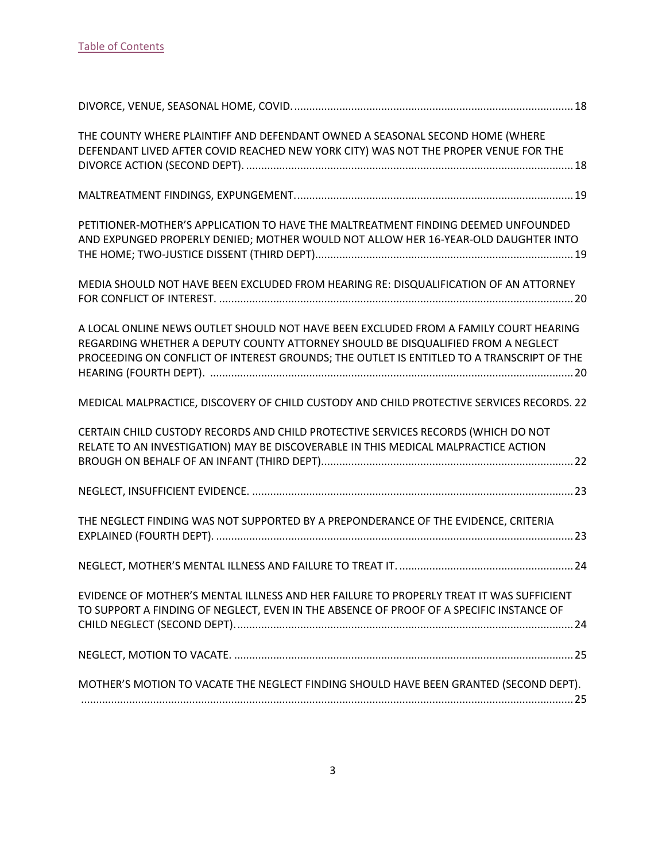| THE COUNTY WHERE PLAINTIFF AND DEFENDANT OWNED A SEASONAL SECOND HOME (WHERE<br>DEFENDANT LIVED AFTER COVID REACHED NEW YORK CITY) WAS NOT THE PROPER VENUE FOR THE                                                                                                   |  |
|-----------------------------------------------------------------------------------------------------------------------------------------------------------------------------------------------------------------------------------------------------------------------|--|
|                                                                                                                                                                                                                                                                       |  |
| PETITIONER-MOTHER'S APPLICATION TO HAVE THE MALTREATMENT FINDING DEEMED UNFOUNDED<br>AND EXPUNGED PROPERLY DENIED; MOTHER WOULD NOT ALLOW HER 16-YEAR-OLD DAUGHTER INTO                                                                                               |  |
| MEDIA SHOULD NOT HAVE BEEN EXCLUDED FROM HEARING RE: DISQUALIFICATION OF AN ATTORNEY                                                                                                                                                                                  |  |
| A LOCAL ONLINE NEWS OUTLET SHOULD NOT HAVE BEEN EXCLUDED FROM A FAMILY COURT HEARING<br>REGARDING WHETHER A DEPUTY COUNTY ATTORNEY SHOULD BE DISQUALIFIED FROM A NEGLECT<br>PROCEEDING ON CONFLICT OF INTEREST GROUNDS; THE OUTLET IS ENTITLED TO A TRANSCRIPT OF THE |  |
| MEDICAL MALPRACTICE, DISCOVERY OF CHILD CUSTODY AND CHILD PROTECTIVE SERVICES RECORDS. 22                                                                                                                                                                             |  |
| CERTAIN CHILD CUSTODY RECORDS AND CHILD PROTECTIVE SERVICES RECORDS (WHICH DO NOT<br>RELATE TO AN INVESTIGATION) MAY BE DISCOVERABLE IN THIS MEDICAL MALPRACTICE ACTION                                                                                               |  |
|                                                                                                                                                                                                                                                                       |  |
| THE NEGLECT FINDING WAS NOT SUPPORTED BY A PREPONDERANCE OF THE EVIDENCE, CRITERIA                                                                                                                                                                                    |  |
|                                                                                                                                                                                                                                                                       |  |
| EVIDENCE OF MOTHER'S MENTAL ILLNESS AND HER FAILURE TO PROPERLY TREAT IT WAS SUFFICIENT<br>TO SUPPORT A FINDING OF NEGLECT, EVEN IN THE ABSENCE OF PROOF OF A SPECIFIC INSTANCE OF                                                                                    |  |
|                                                                                                                                                                                                                                                                       |  |
| MOTHER'S MOTION TO VACATE THE NEGLECT FINDING SHOULD HAVE BEEN GRANTED (SECOND DEPT).                                                                                                                                                                                 |  |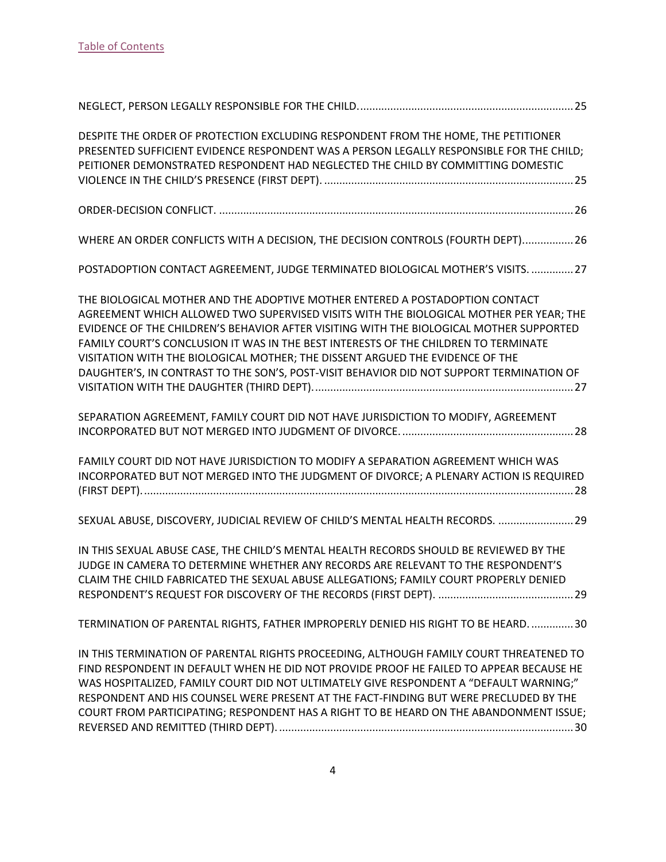| DESPITE THE ORDER OF PROTECTION EXCLUDING RESPONDENT FROM THE HOME, THE PETITIONER<br>PRESENTED SUFFICIENT EVIDENCE RESPONDENT WAS A PERSON LEGALLY RESPONSIBLE FOR THE CHILD;<br>PEITIONER DEMONSTRATED RESPONDENT HAD NEGLECTED THE CHILD BY COMMITTING DOMESTIC                                                                                                                                                                                                                                                                    |
|---------------------------------------------------------------------------------------------------------------------------------------------------------------------------------------------------------------------------------------------------------------------------------------------------------------------------------------------------------------------------------------------------------------------------------------------------------------------------------------------------------------------------------------|
|                                                                                                                                                                                                                                                                                                                                                                                                                                                                                                                                       |
| WHERE AN ORDER CONFLICTS WITH A DECISION, THE DECISION CONTROLS (FOURTH DEPT) 26                                                                                                                                                                                                                                                                                                                                                                                                                                                      |
| POSTADOPTION CONTACT AGREEMENT, JUDGE TERMINATED BIOLOGICAL MOTHER'S VISITS.  27                                                                                                                                                                                                                                                                                                                                                                                                                                                      |
| THE BIOLOGICAL MOTHER AND THE ADOPTIVE MOTHER ENTERED A POSTADOPTION CONTACT<br>AGREEMENT WHICH ALLOWED TWO SUPERVISED VISITS WITH THE BIOLOGICAL MOTHER PER YEAR; THE<br>EVIDENCE OF THE CHILDREN'S BEHAVIOR AFTER VISITING WITH THE BIOLOGICAL MOTHER SUPPORTED<br>FAMILY COURT'S CONCLUSION IT WAS IN THE BEST INTERESTS OF THE CHILDREN TO TERMINATE<br>VISITATION WITH THE BIOLOGICAL MOTHER; THE DISSENT ARGUED THE EVIDENCE OF THE<br>DAUGHTER'S, IN CONTRAST TO THE SON'S, POST-VISIT BEHAVIOR DID NOT SUPPORT TERMINATION OF |
| SEPARATION AGREEMENT, FAMILY COURT DID NOT HAVE JURISDICTION TO MODIFY, AGREEMENT                                                                                                                                                                                                                                                                                                                                                                                                                                                     |
| FAMILY COURT DID NOT HAVE JURISDICTION TO MODIFY A SEPARATION AGREEMENT WHICH WAS<br>INCORPORATED BUT NOT MERGED INTO THE JUDGMENT OF DIVORCE; A PLENARY ACTION IS REQUIRED                                                                                                                                                                                                                                                                                                                                                           |
| SEXUAL ABUSE, DISCOVERY, JUDICIAL REVIEW OF CHILD'S MENTAL HEALTH RECORDS.  29                                                                                                                                                                                                                                                                                                                                                                                                                                                        |
| IN THIS SEXUAL ABUSE CASE, THE CHILD'S MENTAL HEALTH RECORDS SHOULD BE REVIEWED BY THE<br>JUDGE IN CAMERA TO DETERMINE WHETHER ANY RECORDS ARE RELEVANT TO THE RESPONDENT'S<br>CLAIM THE CHILD FABRICATED THE SEXUAL ABUSE ALLEGATIONS; FAMILY COURT PROPERLY DENIED                                                                                                                                                                                                                                                                  |
| TERMINATION OF PARENTAL RIGHTS, FATHER IMPROPERLY DENIED HIS RIGHT TO BE HEARD30                                                                                                                                                                                                                                                                                                                                                                                                                                                      |
| IN THIS TERMINATION OF PARENTAL RIGHTS PROCEEDING, ALTHOUGH FAMILY COURT THREATENED TO<br>FIND RESPONDENT IN DEFAULT WHEN HE DID NOT PROVIDE PROOF HE FAILED TO APPEAR BECAUSE HE<br>WAS HOSPITALIZED, FAMILY COURT DID NOT ULTIMATELY GIVE RESPONDENT A "DEFAULT WARNING;"<br>RESPONDENT AND HIS COUNSEL WERE PRESENT AT THE FACT-FINDING BUT WERE PRECLUDED BY THE<br>COURT FROM PARTICIPATING; RESPONDENT HAS A RIGHT TO BE HEARD ON THE ABANDONMENT ISSUE;                                                                        |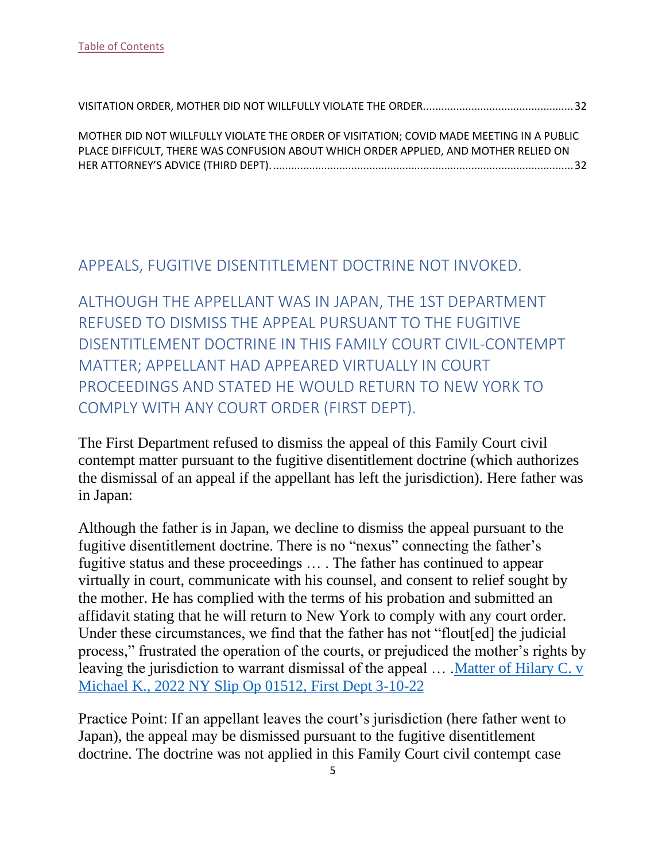| MOTHER DID NOT WILLFULLY VIOLATE THE ORDER OF VISITATION; COVID MADE MEETING IN A PUBLIC |  |
|------------------------------------------------------------------------------------------|--|
| PLACE DIFFICULT, THERE WAS CONFUSION ABOUT WHICH ORDER APPLIED, AND MOTHER RELIED ON     |  |
|                                                                                          |  |

#### <span id="page-5-0"></span>APPEALS, FUGITIVE DISENTITLEMENT DOCTRINE NOT INVOKED.

<span id="page-5-1"></span>ALTHOUGH THE APPELLANT WAS IN JAPAN, THE 1ST DEPARTMENT REFUSED TO DISMISS THE APPEAL PURSUANT TO THE FUGITIVE DISENTITLEMENT DOCTRINE IN THIS FAMILY COURT CIVIL-CONTEMPT MATTER; APPELLANT HAD APPEARED VIRTUALLY IN COURT PROCEEDINGS AND STATED HE WOULD RETURN TO NEW YORK TO COMPLY WITH ANY COURT ORDER (FIRST DEPT).

The First Department refused to dismiss the appeal of this Family Court civil contempt matter pursuant to the fugitive disentitlement doctrine (which authorizes the dismissal of an appeal if the appellant has left the jurisdiction). Here father was in Japan:

Although the father is in Japan, we decline to dismiss the appeal pursuant to the fugitive disentitlement doctrine. There is no "nexus" connecting the father's fugitive status and these proceedings … . The father has continued to appear virtually in court, communicate with his counsel, and consent to relief sought by the mother. He has complied with the terms of his probation and submitted an affidavit stating that he will return to New York to comply with any court order. Under these circumstances, we find that the father has not "flout[ed] the judicial process," frustrated the operation of the courts, or prejudiced the mother's rights by leaving the jurisdiction to warrant dismissal of the appeal … [.Matter of Hilary C. v](https://nycourts.gov/reporter/3dseries/2022/2022_01512.htm)  [Michael K., 2022 NY Slip Op 01512,](https://nycourts.gov/reporter/3dseries/2022/2022_01512.htm) First Dept 3-10-22

Practice Point: If an appellant leaves the court's jurisdiction (here father went to Japan), the appeal may be dismissed pursuant to the fugitive disentitlement doctrine. The doctrine was not applied in this Family Court civil contempt case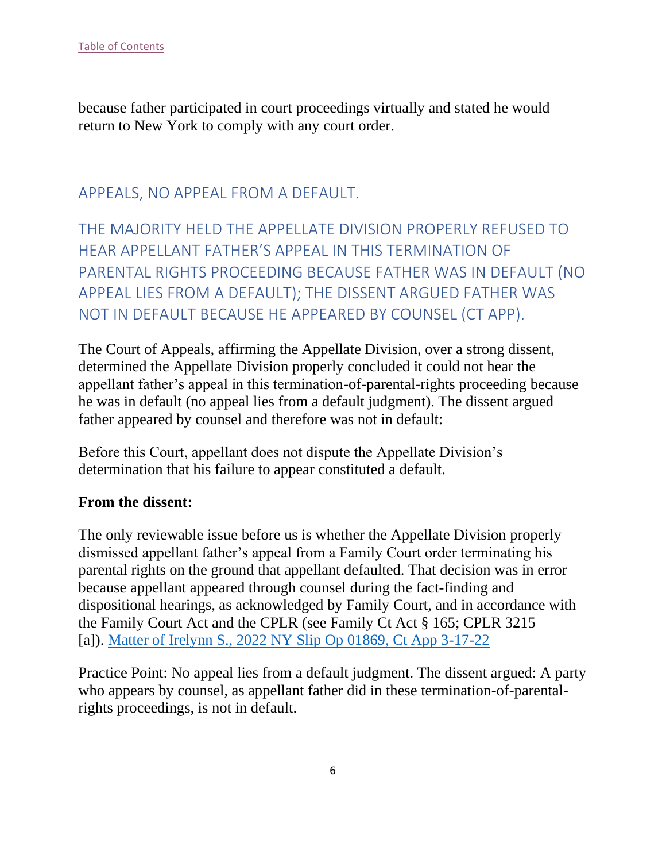because father participated in court proceedings virtually and stated he would return to New York to comply with any court order.

## <span id="page-6-0"></span>APPEALS, NO APPEAL FROM A DEFAULT.

<span id="page-6-1"></span>THE MAJORITY HELD THE APPELLATE DIVISION PROPERLY REFUSED TO HEAR APPELLANT FATHER'S APPEAL IN THIS TERMINATION OF PARENTAL RIGHTS PROCEEDING BECAUSE FATHER WAS IN DEFAULT (NO APPEAL LIES FROM A DEFAULT); THE DISSENT ARGUED FATHER WAS NOT IN DEFAULT BECAUSE HE APPEARED BY COUNSEL (CT APP).

The Court of Appeals, affirming the Appellate Division, over a strong dissent, determined the Appellate Division properly concluded it could not hear the appellant father's appeal in this termination-of-parental-rights proceeding because he was in default (no appeal lies from a default judgment). The dissent argued father appeared by counsel and therefore was not in default:

Before this Court, appellant does not dispute the Appellate Division's determination that his failure to appear constituted a default.

#### **From the dissent:**

The only reviewable issue before us is whether the Appellate Division properly dismissed appellant father's appeal from a Family Court order terminating his parental rights on the ground that appellant defaulted. That decision was in error because appellant appeared through counsel during the fact-finding and dispositional hearings, as acknowledged by Family Court, and in accordance with the Family Court Act and the CPLR (see Family Ct Act § 165; CPLR 3215 [a]). [Matter of Irelynn S., 2022 NY Slip Op 01869, Ct App 3-17-22](https://www.nycourts.gov/reporter/3dseries/2022/2022_01869.htm)

Practice Point: No appeal lies from a default judgment. The dissent argued: A party who appears by counsel, as appellant father did in these termination-of-parentalrights proceedings, is not in default.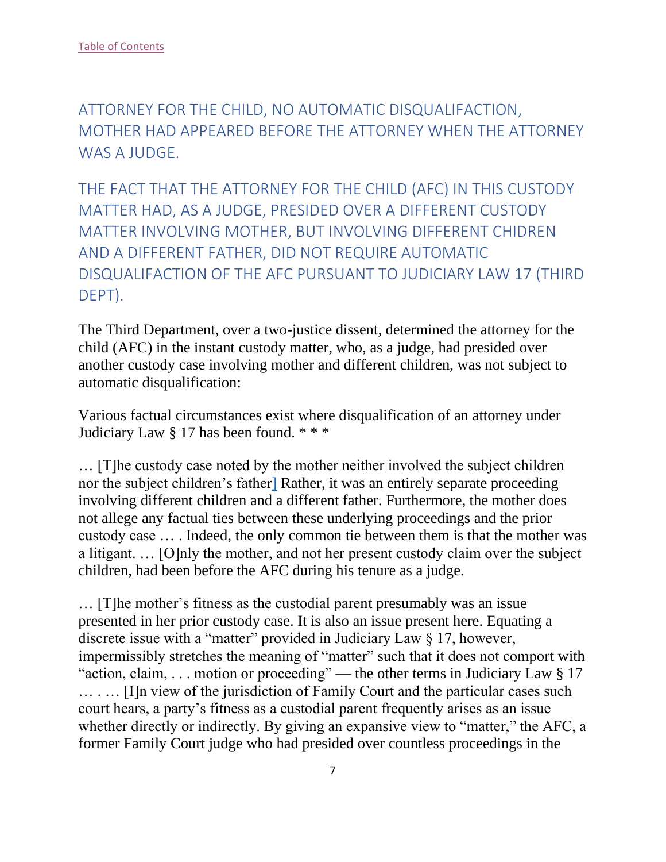<span id="page-7-0"></span>ATTORNEY FOR THE CHILD, NO AUTOMATIC DISQUALIFACTION, MOTHER HAD APPEARED BEFORE THE ATTORNEY WHEN THE ATTORNEY WAS A JUDGE.

<span id="page-7-1"></span>THE FACT THAT THE ATTORNEY FOR THE CHILD (AFC) IN THIS CUSTODY MATTER HAD, AS A JUDGE, PRESIDED OVER A DIFFERENT CUSTODY MATTER INVOLVING MOTHER, BUT INVOLVING DIFFERENT CHIDREN AND A DIFFERENT FATHER, DID NOT REQUIRE AUTOMATIC DISQUALIFACTION OF THE AFC PURSUANT TO JUDICIARY LAW 17 (THIRD DEPT).

The Third Department, over a two-justice dissent, determined the attorney for the child (AFC) in the instant custody matter, who, as a judge, had presided over another custody case involving mother and different children, was not subject to automatic disqualification:

Various factual circumstances exist where disqualification of an attorney under Judiciary Law § 17 has been found. \* \* \*

… [T]he custody case noted by the mother neither involved the subject children nor the subject children's fathe[r\]](https://nycourts.gov/reporter/3dseries/2022/2022_02044.htm#2FN) Rather, it was an entirely separate proceeding involving different children and a different father. Furthermore, the mother does not allege any factual ties between these underlying proceedings and the prior custody case … . Indeed, the only common tie between them is that the mother was a litigant. … [O]nly the mother, and not her present custody claim over the subject children, had been before the AFC during his tenure as a judge.

… [T]he mother's fitness as the custodial parent presumably was an issue presented in her prior custody case. It is also an issue present here. Equating a discrete issue with a "matter" provided in Judiciary Law § 17, however, impermissibly stretches the meaning of "matter" such that it does not comport with "action, claim, . . . motion or proceeding" — the other terms in Judiciary Law § 17 … . … [I]n view of the jurisdiction of Family Court and the particular cases such court hears, a party's fitness as a custodial parent frequently arises as an issue whether directly or indirectly. By giving an expansive view to "matter," the AFC, a former Family Court judge who had presided over countless proceedings in the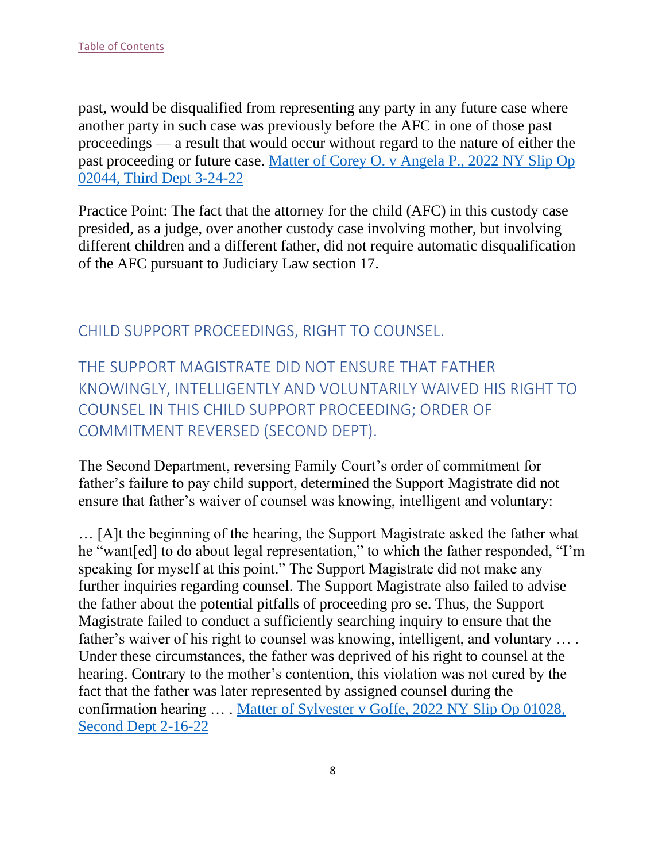past, would be disqualified from representing any party in any future case where another party in such case was previously before the AFC in one of those past proceedings — a result that would occur without regard to the nature of either the past proceeding or future case. [Matter of Corey O. v Angela P., 2022 NY Slip Op](https://nycourts.gov/reporter/3dseries/2022/2022_02044.htm)  [02044, Third Dept 3-24-22](https://nycourts.gov/reporter/3dseries/2022/2022_02044.htm)

Practice Point: The fact that the attorney for the child (AFC) in this custody case presided, as a judge, over another custody case involving mother, but involving different children and a different father, did not require automatic disqualification of the AFC pursuant to Judiciary Law section 17.

#### <span id="page-8-0"></span>CHILD SUPPORT PROCEEDINGS, RIGHT TO COUNSEL.

<span id="page-8-1"></span>THE SUPPORT MAGISTRATE DID NOT ENSURE THAT FATHER KNOWINGLY, INTELLIGENTLY AND VOLUNTARILY WAIVED HIS RIGHT TO COUNSEL IN THIS CHILD SUPPORT PROCEEDING; ORDER OF COMMITMENT REVERSED (SECOND DEPT).

The Second Department, reversing Family Court's order of commitment for father's failure to pay child support, determined the Support Magistrate did not ensure that father's waiver of counsel was knowing, intelligent and voluntary:

… [A]t the beginning of the hearing, the Support Magistrate asked the father what he "want[ed] to do about legal representation," to which the father responded, "I'm speaking for myself at this point." The Support Magistrate did not make any further inquiries regarding counsel. The Support Magistrate also failed to advise the father about the potential pitfalls of proceeding pro se. Thus, the Support Magistrate failed to conduct a sufficiently searching inquiry to ensure that the father's waiver of his right to counsel was knowing, intelligent, and voluntary … . Under these circumstances, the father was deprived of his right to counsel at the hearing. Contrary to the mother's contention, this violation was not cured by the fact that the father was later represented by assigned counsel during the confirmation hearing … . [Matter of Sylvester v Goffe, 2022 NY Slip Op 01028,](https://nycourts.gov/reporter/3dseries/2022/2022_01028.htm)  [Second Dept 2-16-22](https://nycourts.gov/reporter/3dseries/2022/2022_01028.htm)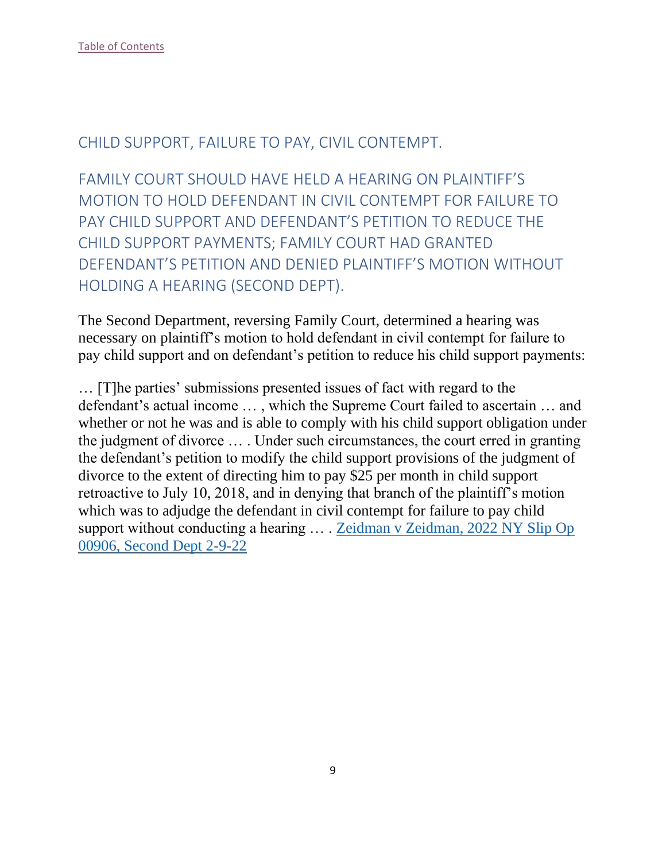#### <span id="page-9-0"></span>CHILD SUPPORT, FAILURE TO PAY, CIVIL CONTEMPT.

<span id="page-9-1"></span>FAMILY COURT SHOULD HAVE HELD A HEARING ON PLAINTIFF'S MOTION TO HOLD DEFENDANT IN CIVIL CONTEMPT FOR FAILURE TO PAY CHILD SUPPORT AND DEFENDANT'S PETITION TO REDUCE THE CHILD SUPPORT PAYMENTS; FAMILY COURT HAD GRANTED DEFENDANT'S PETITION AND DENIED PLAINTIFF'S MOTION WITHOUT HOLDING A HEARING (SECOND DEPT).

The Second Department, reversing Family Court, determined a hearing was necessary on plaintiff's motion to hold defendant in civil contempt for failure to pay child support and on defendant's petition to reduce his child support payments:

… [T]he parties' submissions presented issues of fact with regard to the defendant's actual income … , which the Supreme Court failed to ascertain … and whether or not he was and is able to comply with his child support obligation under the judgment of divorce … . Under such circumstances, the court erred in granting the defendant's petition to modify the child support provisions of the judgment of divorce to the extent of directing him to pay \$25 per month in child support retroactive to July 10, 2018, and in denying that branch of the plaintiff's motion which was to adjudge the defendant in civil contempt for failure to pay child support without conducting a hearing ... . Zeidman v Zeidman, 2022 NY Slip Op [00906, Second Dept 2-9-22](https://nycourts.gov/reporter/3dseries/2022/2022_00906.htm)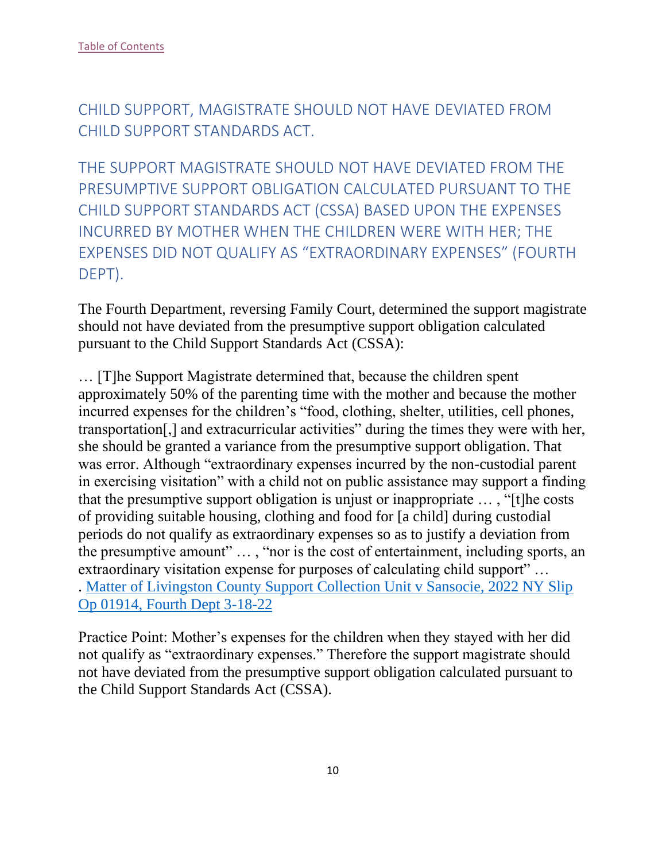<span id="page-10-0"></span>CHILD SUPPORT, MAGISTRATE SHOULD NOT HAVE DEVIATED FROM CHILD SUPPORT STANDARDS ACT.

<span id="page-10-1"></span>THE SUPPORT MAGISTRATE SHOULD NOT HAVE DEVIATED FROM THE PRESUMPTIVE SUPPORT OBLIGATION CALCULATED PURSUANT TO THE CHILD SUPPORT STANDARDS ACT (CSSA) BASED UPON THE EXPENSES INCURRED BY MOTHER WHEN THE CHILDREN WERE WITH HER; THE EXPENSES DID NOT QUALIFY AS "EXTRAORDINARY EXPENSES" (FOURTH DEPT).

The Fourth Department, reversing Family Court, determined the support magistrate should not have deviated from the presumptive support obligation calculated pursuant to the Child Support Standards Act (CSSA):

… [T]he Support Magistrate determined that, because the children spent approximately 50% of the parenting time with the mother and because the mother incurred expenses for the children's "food, clothing, shelter, utilities, cell phones, transportation[,] and extracurricular activities" during the times they were with her, she should be granted a variance from the presumptive support obligation. That was error. Although "extraordinary expenses incurred by the non-custodial parent in exercising visitation" with a child not on public assistance may support a finding that the presumptive support obligation is unjust or inappropriate … , "[t]he costs of providing suitable housing, clothing and food for [a child] during custodial periods do not qualify as extraordinary expenses so as to justify a deviation from the presumptive amount" … , "nor is the cost of entertainment, including sports, an extraordinary visitation expense for purposes of calculating child support" … . [Matter of Livingston County Support Collection Unit v Sansocie, 2022 NY Slip](https://nycourts.gov/reporter/3dseries/2022/2022_01914.htm)  [Op 01914, Fourth Dept 3-18-22](https://nycourts.gov/reporter/3dseries/2022/2022_01914.htm)

Practice Point: Mother's expenses for the children when they stayed with her did not qualify as "extraordinary expenses." Therefore the support magistrate should not have deviated from the presumptive support obligation calculated pursuant to the Child Support Standards Act (CSSA).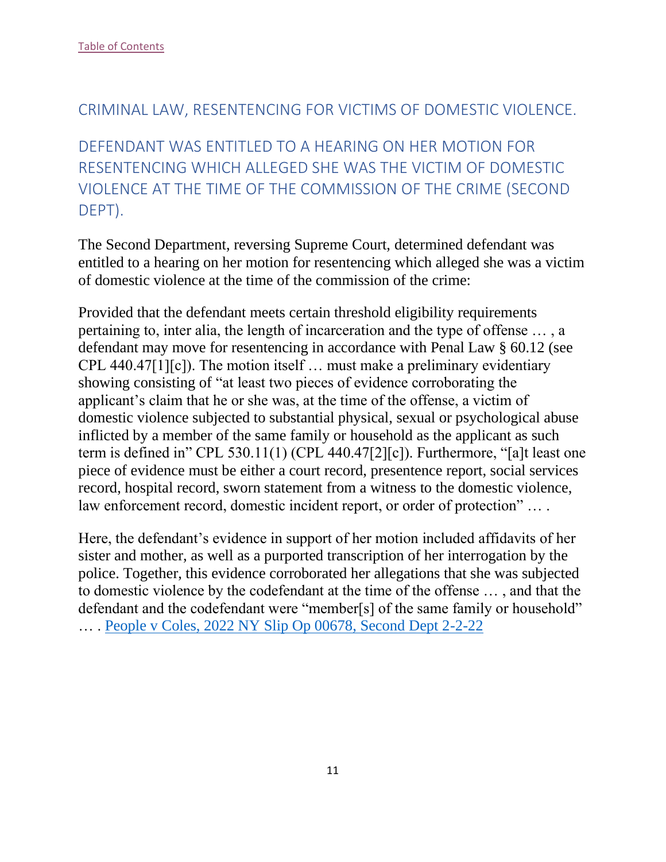#### <span id="page-11-0"></span>CRIMINAL LAW, RESENTENCING FOR VICTIMS OF DOMESTIC VIOLENCE.

<span id="page-11-1"></span>DEFENDANT WAS ENTITLED TO A HEARING ON HER MOTION FOR RESENTENCING WHICH ALLEGED SHE WAS THE VICTIM OF DOMESTIC VIOLENCE AT THE TIME OF THE COMMISSION OF THE CRIME (SECOND DEPT).

The Second Department, reversing Supreme Court, determined defendant was entitled to a hearing on her motion for resentencing which alleged she was a victim of domestic violence at the time of the commission of the crime:

Provided that the defendant meets certain threshold eligibility requirements pertaining to, inter alia, the length of incarceration and the type of offense … , a defendant may move for resentencing in accordance with Penal Law § 60.12 (see CPL 440.47[1][c]). The motion itself … must make a preliminary evidentiary showing consisting of "at least two pieces of evidence corroborating the applicant's claim that he or she was, at the time of the offense, a victim of domestic violence subjected to substantial physical, sexual or psychological abuse inflicted by a member of the same family or household as the applicant as such term is defined in" CPL 530.11(1) (CPL 440.47[2][c]). Furthermore, "[a]t least one piece of evidence must be either a court record, presentence report, social services record, hospital record, sworn statement from a witness to the domestic violence, law enforcement record, domestic incident report, or order of protection" … .

Here, the defendant's evidence in support of her motion included affidavits of her sister and mother, as well as a purported transcription of her interrogation by the police. Together, this evidence corroborated her allegations that she was subjected to domestic violence by the codefendant at the time of the offense … , and that the defendant and the codefendant were "member[s] of the same family or household" … . [People v Coles, 2022 NY Slip Op 00678, Second Dept 2-2-22](https://nycourts.gov/reporter/3dseries/2022/2022_00678.htm)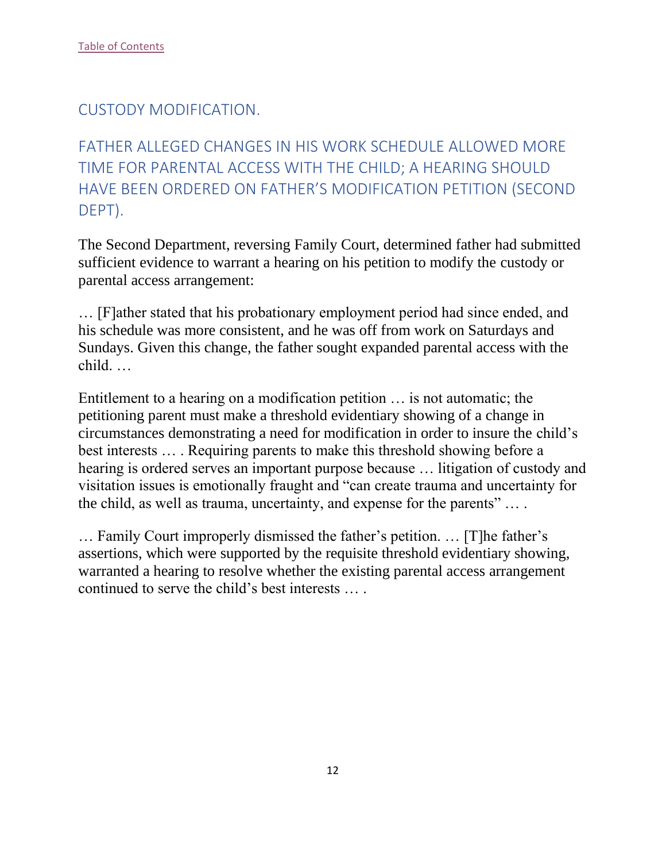## <span id="page-12-0"></span>CUSTODY MODIFICATION.

<span id="page-12-1"></span>FATHER ALLEGED CHANGES IN HIS WORK SCHEDULE ALLOWED MORE TIME FOR PARENTAL ACCESS WITH THE CHILD; A HEARING SHOULD HAVE BEEN ORDERED ON FATHER'S MODIFICATION PETITION (SECOND DEPT).

The Second Department, reversing Family Court, determined father had submitted sufficient evidence to warrant a hearing on his petition to modify the custody or parental access arrangement:

… [F]ather stated that his probationary employment period had since ended, and his schedule was more consistent, and he was off from work on Saturdays and Sundays. Given this change, the father sought expanded parental access with the child. …

Entitlement to a hearing on a modification petition … is not automatic; the petitioning parent must make a threshold evidentiary showing of a change in circumstances demonstrating a need for modification in order to insure the child's best interests … . Requiring parents to make this threshold showing before a hearing is ordered serves an important purpose because … litigation of custody and visitation issues is emotionally fraught and "can create trauma and uncertainty for the child, as well as trauma, uncertainty, and expense for the parents" … .

… Family Court improperly dismissed the father's petition. … [T]he father's assertions, which were supported by the requisite threshold evidentiary showing, warranted a hearing to resolve whether the existing parental access arrangement continued to serve the child's best interests … .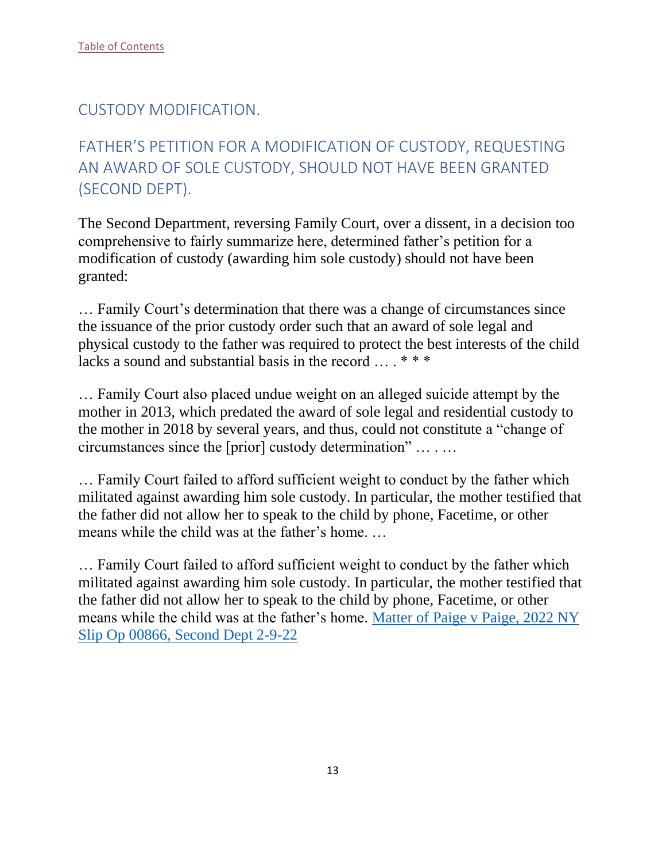## <span id="page-13-0"></span>CUSTODY MODIFICATION.

# <span id="page-13-1"></span>FATHER'S PETITION FOR A MODIFICATION OF CUSTODY, REQUESTING AN AWARD OF SOLE CUSTODY, SHOULD NOT HAVE BEEN GRANTED (SECOND DEPT).

The Second Department, reversing Family Court, over a dissent, in a decision too comprehensive to fairly summarize here, determined father's petition for a modification of custody (awarding him sole custody) should not have been granted:

… Family Court's determination that there was a change of circumstances since the issuance of the prior custody order such that an award of sole legal and physical custody to the father was required to protect the best interests of the child lacks a sound and substantial basis in the record ...  $***$ 

… Family Court also placed undue weight on an alleged suicide attempt by the mother in 2013, which predated the award of sole legal and residential custody to the mother in 2018 by several years, and thus, could not constitute a "change of circumstances since the [prior] custody determination" … . …

… Family Court failed to afford sufficient weight to conduct by the father which militated against awarding him sole custody. In particular, the mother testified that the father did not allow her to speak to the child by phone, Facetime, or other means while the child was at the father's home. …

… Family Court failed to afford sufficient weight to conduct by the father which militated against awarding him sole custody. In particular, the mother testified that the father did not allow her to speak to the child by phone, Facetime, or other means while the child was at the father's home. Matter of Paige [v Paige, 2022 NY](https://nycourts.gov/reporter/3dseries/2022/2022_00866.htm)  [Slip Op 00866, Second Dept 2-9-22](https://nycourts.gov/reporter/3dseries/2022/2022_00866.htm)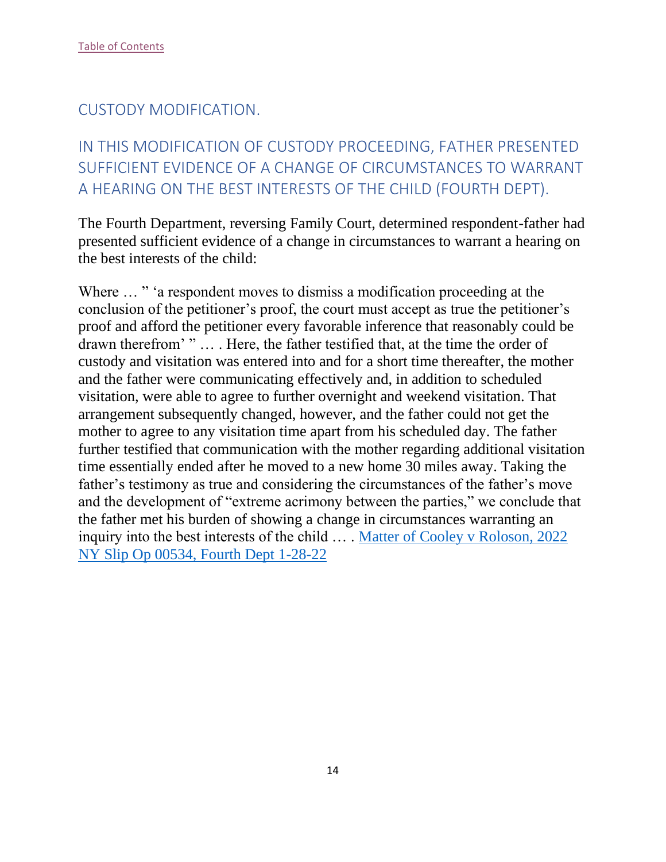## <span id="page-14-0"></span>CUSTODY MODIFICATION.

# <span id="page-14-1"></span>IN THIS MODIFICATION OF CUSTODY PROCEEDING, FATHER PRESENTED SUFFICIENT EVIDENCE OF A CHANGE OF CIRCUMSTANCES TO WARRANT A HEARING ON THE BEST INTERESTS OF THE CHILD (FOURTH DEPT).

The Fourth Department, reversing Family Court, determined respondent-father had presented sufficient evidence of a change in circumstances to warrant a hearing on the best interests of the child:

Where  $\ldots$  " a respondent moves to dismiss a modification proceeding at the conclusion of the petitioner's proof, the court must accept as true the petitioner's proof and afford the petitioner every favorable inference that reasonably could be drawn therefrom' " … . Here, the father testified that, at the time the order of custody and visitation was entered into and for a short time thereafter, the mother and the father were communicating effectively and, in addition to scheduled visitation, were able to agree to further overnight and weekend visitation. That arrangement subsequently changed, however, and the father could not get the mother to agree to any visitation time apart from his scheduled day. The father further testified that communication with the mother regarding additional visitation time essentially ended after he moved to a new home 30 miles away. Taking the father's testimony as true and considering the circumstances of the father's move and the development of "extreme acrimony between the parties," we conclude that the father met his burden of showing a change in circumstances warranting an inquiry into the best interests of the child … . [Matter of Cooley v Roloson, 2022](https://nycourts.gov/reporter/3dseries/2022/2022_00534.htm)  [NY Slip Op 00534, Fourth Dept 1-28-22](https://nycourts.gov/reporter/3dseries/2022/2022_00534.htm)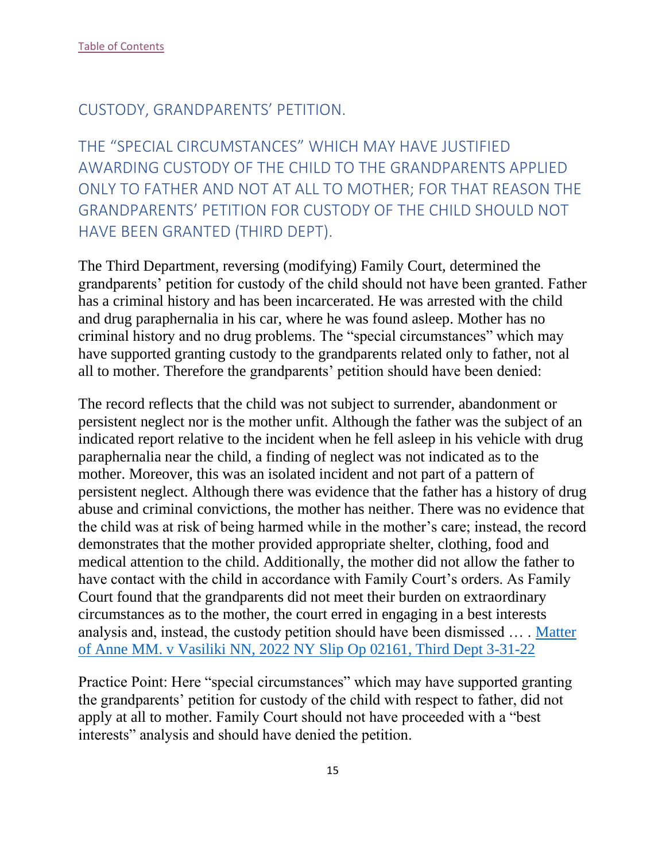## <span id="page-15-0"></span>CUSTODY, GRANDPARENTS' PETITION.

<span id="page-15-1"></span>THE "SPECIAL CIRCUMSTANCES" WHICH MAY HAVE JUSTIFIED AWARDING CUSTODY OF THE CHILD TO THE GRANDPARENTS APPLIED ONLY TO FATHER AND NOT AT ALL TO MOTHER; FOR THAT REASON THE GRANDPARENTS' PETITION FOR CUSTODY OF THE CHILD SHOULD NOT HAVE BEEN GRANTED (THIRD DEPT).

The Third Department, reversing (modifying) Family Court, determined the grandparents' petition for custody of the child should not have been granted. Father has a criminal history and has been incarcerated. He was arrested with the child and drug paraphernalia in his car, where he was found asleep. Mother has no criminal history and no drug problems. The "special circumstances" which may have supported granting custody to the grandparents related only to father, not al all to mother. Therefore the grandparents' petition should have been denied:

The record reflects that the child was not subject to surrender, abandonment or persistent neglect nor is the mother unfit. Although the father was the subject of an indicated report relative to the incident when he fell asleep in his vehicle with drug paraphernalia near the child, a finding of neglect was not indicated as to the mother. Moreover, this was an isolated incident and not part of a pattern of persistent neglect. Although there was evidence that the father has a history of drug abuse and criminal convictions, the mother has neither. There was no evidence that the child was at risk of being harmed while in the mother's care; instead, the record demonstrates that the mother provided appropriate shelter, clothing, food and medical attention to the child. Additionally, the mother did not allow the father to have contact with the child in accordance with Family Court's orders. As Family Court found that the grandparents did not meet their burden on extraordinary circumstances as to the mother, the court erred in engaging in a best interests analysis and, instead, the custody petition should have been dismissed … . [Matter](https://nycourts.gov/reporter/3dseries/2022/2022_02161.htm) [of Anne MM. v Vasiliki NN, 2022 NY Slip Op 02161, Third Dept 3-31-22](https://nycourts.gov/reporter/3dseries/2022/2022_02161.htm)

Practice Point: Here "special circumstances" which may have supported granting the grandparents' petition for custody of the child with respect to father, did not apply at all to mother. Family Court should not have proceeded with a "best interests" analysis and should have denied the petition.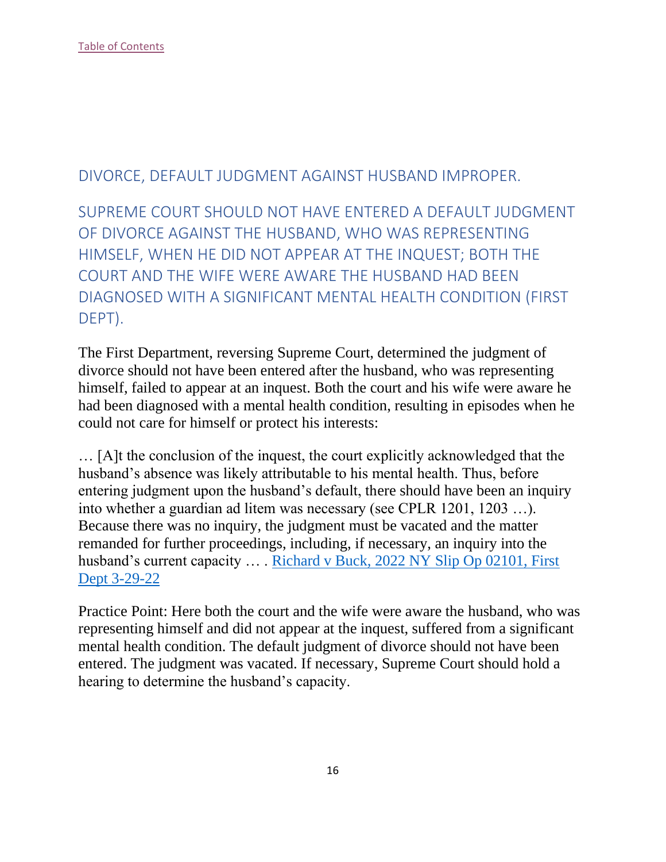## <span id="page-16-0"></span>DIVORCE, DEFAULT JUDGMENT AGAINST HUSBAND IMPROPER.

<span id="page-16-1"></span>SUPREME COURT SHOULD NOT HAVE ENTERED A DEFAULT JUDGMENT OF DIVORCE AGAINST THE HUSBAND, WHO WAS REPRESENTING HIMSELF, WHEN HE DID NOT APPEAR AT THE INQUEST; BOTH THE COURT AND THE WIFE WERE AWARE THE HUSBAND HAD BEEN DIAGNOSED WITH A SIGNIFICANT MENTAL HEALTH CONDITION (FIRST DEPT).

The First Department, reversing Supreme Court, determined the judgment of divorce should not have been entered after the husband, who was representing himself, failed to appear at an inquest. Both the court and his wife were aware he had been diagnosed with a mental health condition, resulting in episodes when he could not care for himself or protect his interests:

… [A]t the conclusion of the inquest, the court explicitly acknowledged that the husband's absence was likely attributable to his mental health. Thus, before entering judgment upon the husband's default, there should have been an inquiry into whether a guardian ad litem was necessary (see CPLR 1201, 1203 …). Because there was no inquiry, the judgment must be vacated and the matter remanded for further proceedings, including, if necessary, an inquiry into the husband's current capacity ... . Richard v Buck, 2022 NY Slip Op 02101, First [Dept 3-29-22](https://nycourts.gov/reporter/3dseries/2022/2022_02101.htm)

Practice Point: Here both the court and the wife were aware the husband, who was representing himself and did not appear at the inquest, suffered from a significant mental health condition. The default judgment of divorce should not have been entered. The judgment was vacated. If necessary, Supreme Court should hold a hearing to determine the husband's capacity.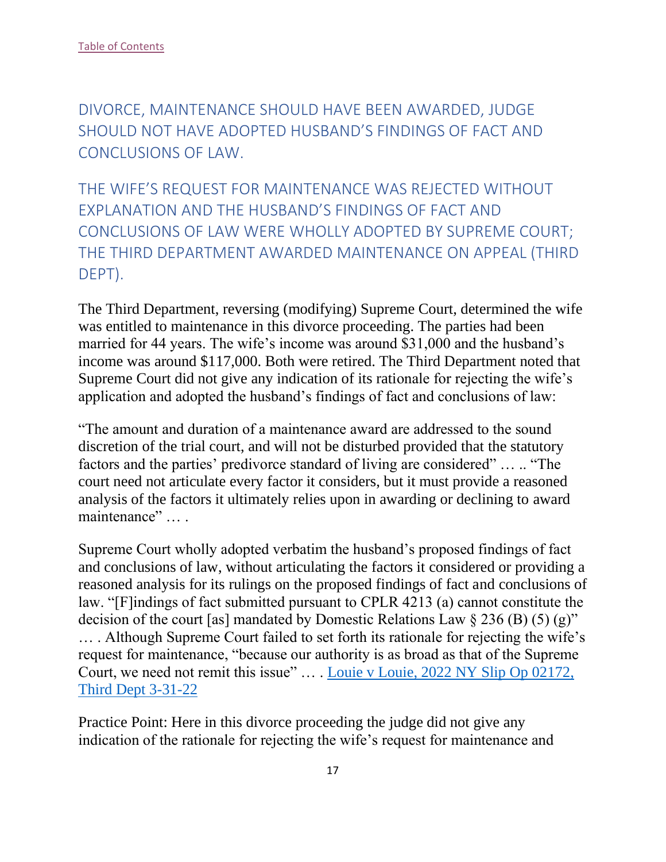<span id="page-17-0"></span>DIVORCE, MAINTENANCE SHOULD HAVE BEEN AWARDED, JUDGE SHOULD NOT HAVE ADOPTED HUSBAND'S FINDINGS OF FACT AND CONCLUSIONS OF LAW.

<span id="page-17-1"></span>THE WIFE'S REQUEST FOR MAINTENANCE WAS REJECTED WITHOUT EXPLANATION AND THE HUSBAND'S FINDINGS OF FACT AND CONCLUSIONS OF LAW WERE WHOLLY ADOPTED BY SUPREME COURT; THE THIRD DEPARTMENT AWARDED MAINTENANCE ON APPEAL (THIRD DEPT).

The Third Department, reversing (modifying) Supreme Court, determined the wife was entitled to maintenance in this divorce proceeding. The parties had been married for 44 years. The wife's income was around \$31,000 and the husband's income was around \$117,000. Both were retired. The Third Department noted that Supreme Court did not give any indication of its rationale for rejecting the wife's application and adopted the husband's findings of fact and conclusions of law:

"The amount and duration of a maintenance award are addressed to the sound discretion of the trial court, and will not be disturbed provided that the statutory factors and the parties' predivorce standard of living are considered" … .. "The court need not articulate every factor it considers, but it must provide a reasoned analysis of the factors it ultimately relies upon in awarding or declining to award maintenance" ... .

Supreme Court wholly adopted verbatim the husband's proposed findings of fact and conclusions of law, without articulating the factors it considered or providing a reasoned analysis for its rulings on the proposed findings of fact and conclusions of law. "[F]indings of fact submitted pursuant to CPLR 4213 (a) cannot constitute the decision of the court [as] mandated by Domestic Relations Law  $\S 236$  (B) (5) (g)" … . Although Supreme Court failed to set forth its rationale for rejecting the wife's request for maintenance, "because our authority is as broad as that of the Supreme Court, we need not remit this issue" … . [Louie v Louie, 2022 NY Slip Op 02172,](https://nycourts.gov/reporter/3dseries/2022/2022_02172.htm)  [Third Dept 3-31-22](https://nycourts.gov/reporter/3dseries/2022/2022_02172.htm)

Practice Point: Here in this divorce proceeding the judge did not give any indication of the rationale for rejecting the wife's request for maintenance and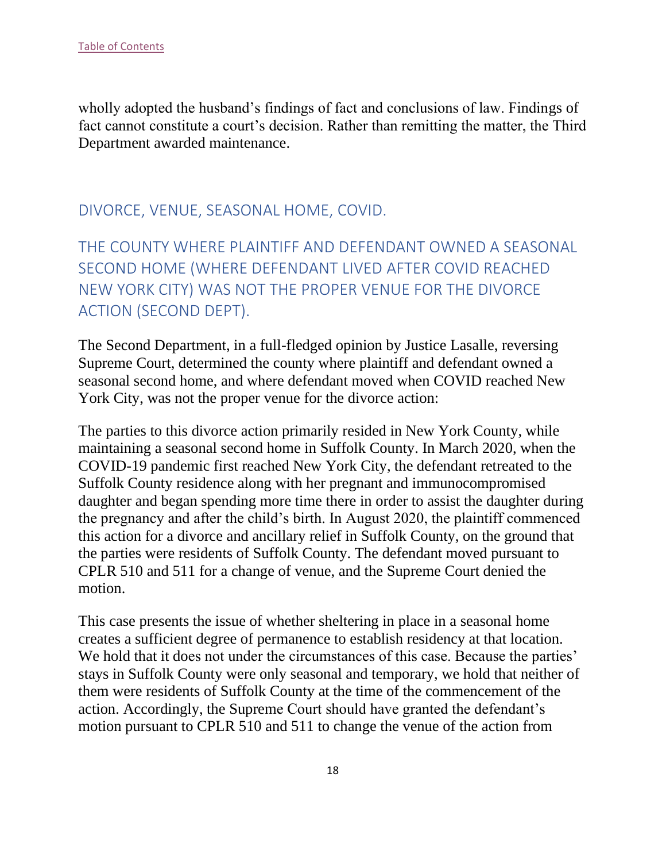wholly adopted the husband's findings of fact and conclusions of law. Findings of fact cannot constitute a court's decision. Rather than remitting the matter, the Third Department awarded maintenance.

#### <span id="page-18-0"></span>DIVORCE, VENUE, SEASONAL HOME, COVID.

<span id="page-18-1"></span>THE COUNTY WHERE PLAINTIFF AND DEFENDANT OWNED A SEASONAL SECOND HOME (WHERE DEFENDANT LIVED AFTER COVID REACHED NEW YORK CITY) WAS NOT THE PROPER VENUE FOR THE DIVORCE ACTION (SECOND DEPT).

The Second Department, in a full-fledged opinion by Justice Lasalle, reversing Supreme Court, determined the county where plaintiff and defendant owned a seasonal second home, and where defendant moved when COVID reached New York City, was not the proper venue for the divorce action:

The parties to this divorce action primarily resided in New York County, while maintaining a seasonal second home in Suffolk County. In March 2020, when the COVID-19 pandemic first reached New York City, the defendant retreated to the Suffolk County residence along with her pregnant and immunocompromised daughter and began spending more time there in order to assist the daughter during the pregnancy and after the child's birth. In August 2020, the plaintiff commenced this action for a divorce and ancillary relief in Suffolk County, on the ground that the parties were residents of Suffolk County. The defendant moved pursuant to CPLR 510 and 511 for a change of venue, and the Supreme Court denied the motion.

This case presents the issue of whether sheltering in place in a seasonal home creates a sufficient degree of permanence to establish residency at that location. We hold that it does not under the circumstances of this case. Because the parties' stays in Suffolk County were only seasonal and temporary, we hold that neither of them were residents of Suffolk County at the time of the commencement of the action. Accordingly, the Supreme Court should have granted the defendant's motion pursuant to CPLR 510 and 511 to change the venue of the action from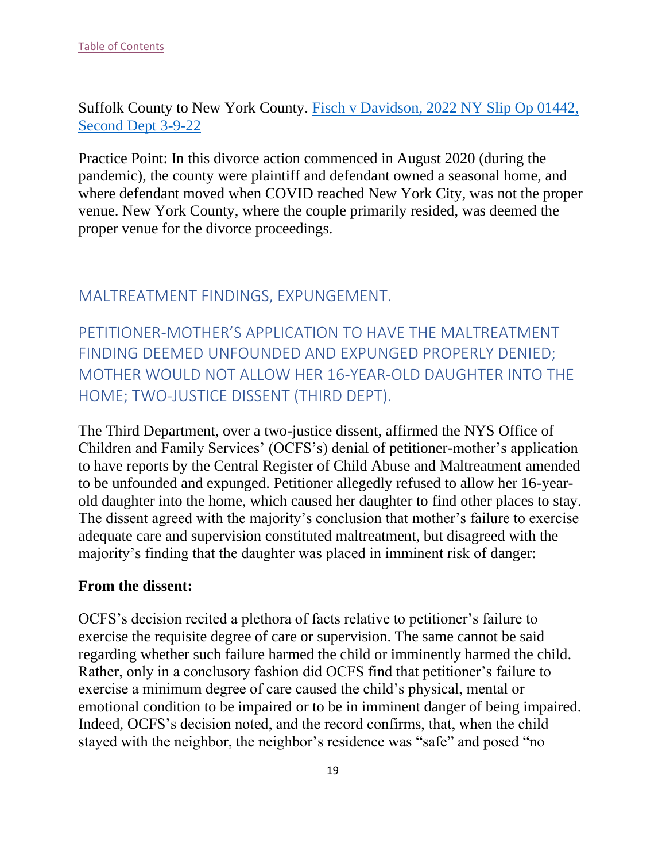Suffolk County to New York County. [Fisch v Davidson, 2022 NY Slip Op 01442,](https://nycourts.gov/reporter/3dseries/2022/2022_01442.htm)  [Second Dept 3-9-22](https://nycourts.gov/reporter/3dseries/2022/2022_01442.htm)

Practice Point: In this divorce action commenced in August 2020 (during the pandemic), the county were plaintiff and defendant owned a seasonal home, and where defendant moved when COVID reached New York City, was not the proper venue. New York County, where the couple primarily resided, was deemed the proper venue for the divorce proceedings.

#### <span id="page-19-0"></span>MALTREATMENT FINDINGS, EXPUNGEMENT.

<span id="page-19-1"></span>PETITIONER-MOTHER'S APPLICATION TO HAVE THE MALTREATMENT FINDING DEEMED UNFOUNDED AND EXPUNGED PROPERLY DENIED; MOTHER WOULD NOT ALLOW HER 16-YEAR-OLD DAUGHTER INTO THE HOME; TWO-JUSTICE DISSENT (THIRD DEPT).

The Third Department, over a two-justice dissent, affirmed the NYS Office of Children and Family Services' (OCFS's) denial of petitioner-mother's application to have reports by the Central Register of Child Abuse and Maltreatment amended to be unfounded and expunged. Petitioner allegedly refused to allow her 16-yearold daughter into the home, which caused her daughter to find other places to stay. The dissent agreed with the majority's conclusion that mother's failure to exercise adequate care and supervision constituted maltreatment, but disagreed with the majority's finding that the daughter was placed in imminent risk of danger:

#### **From the dissent:**

OCFS's decision recited a plethora of facts relative to petitioner's failure to exercise the requisite degree of care or supervision. The same cannot be said regarding whether such failure harmed the child or imminently harmed the child. Rather, only in a conclusory fashion did OCFS find that petitioner's failure to exercise a minimum degree of care caused the child's physical, mental or emotional condition to be impaired or to be in imminent danger of being impaired. Indeed, OCFS's decision noted, and the record confirms, that, when the child stayed with the neighbor, the neighbor's residence was "safe" and posed "no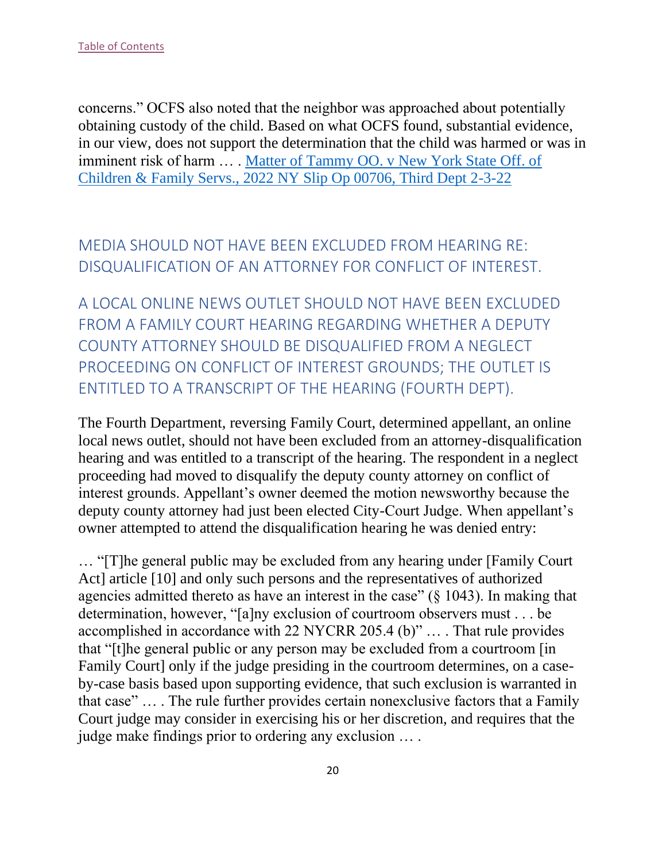concerns." OCFS also noted that the neighbor was approached about potentially obtaining custody of the child. Based on what OCFS found, substantial evidence, in our view, does not support the determination that the child was harmed or was in imminent risk of harm … . Matter of Tammy [OO. v New York State Off. of](https://nycourts.gov/reporter/3dseries/2022/2022_00706.htm)  [Children & Family Servs., 2022 NY Slip Op 00706, Third Dept 2-3-22](https://nycourts.gov/reporter/3dseries/2022/2022_00706.htm)

# <span id="page-20-0"></span>MEDIA SHOULD NOT HAVE BEEN EXCLUDED FROM HEARING RE: DISQUALIFICATION OF AN ATTORNEY FOR CONFLICT OF INTEREST.

<span id="page-20-1"></span>A LOCAL ONLINE NEWS OUTLET SHOULD NOT HAVE BEEN EXCLUDED FROM A FAMILY COURT HEARING REGARDING WHETHER A DEPUTY COUNTY ATTORNEY SHOULD BE DISQUALIFIED FROM A NEGLECT PROCEEDING ON CONFLICT OF INTEREST GROUNDS; THE OUTLET IS ENTITLED TO A TRANSCRIPT OF THE HEARING (FOURTH DEPT).

The Fourth Department, reversing Family Court, determined appellant, an online local news outlet, should not have been excluded from an attorney-disqualification hearing and was entitled to a transcript of the hearing. The respondent in a neglect proceeding had moved to disqualify the deputy county attorney on conflict of interest grounds. Appellant's owner deemed the motion newsworthy because the deputy county attorney had just been elected City-Court Judge. When appellant's owner attempted to attend the disqualification hearing he was denied entry:

… "[T]he general public may be excluded from any hearing under [Family Court Act] article [10] and only such persons and the representatives of authorized agencies admitted thereto as have an interest in the case" (§ 1043). In making that determination, however, "[a]ny exclusion of courtroom observers must . . . be accomplished in accordance with 22 NYCRR 205.4 (b)" … . That rule provides that "[t]he general public or any person may be excluded from a courtroom [in Family Court] only if the judge presiding in the courtroom determines, on a caseby-case basis based upon supporting evidence, that such exclusion is warranted in that case" … . The rule further provides certain nonexclusive factors that a Family Court judge may consider in exercising his or her discretion, and requires that the judge make findings prior to ordering any exclusion … .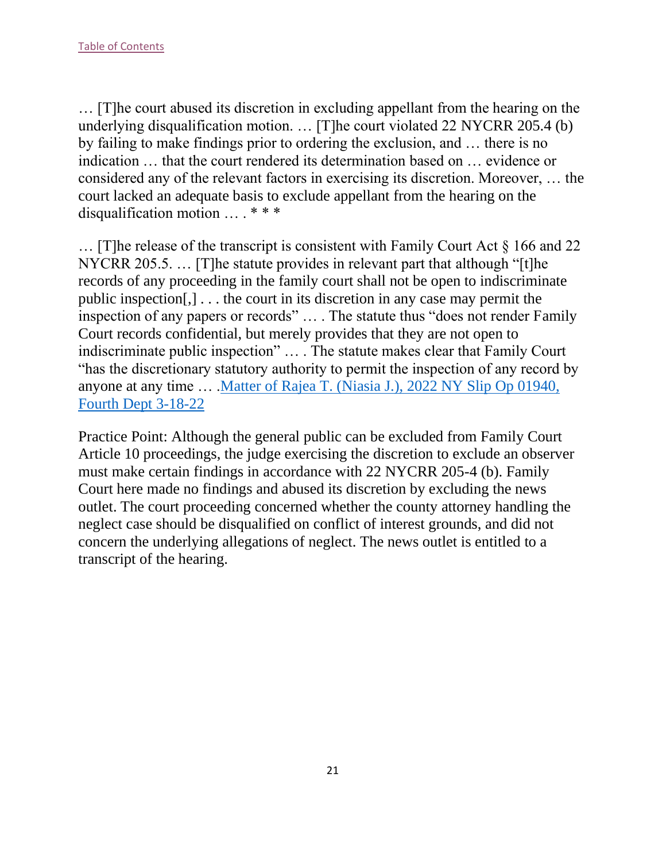… [T]he court abused its discretion in excluding appellant from the hearing on the underlying disqualification motion. … [T]he court violated 22 NYCRR 205.4 (b) by failing to make findings prior to ordering the exclusion, and … there is no indication … that the court rendered its determination based on … evidence or considered any of the relevant factors in exercising its discretion. Moreover, … the court lacked an adequate basis to exclude appellant from the hearing on the disqualification motion … . \* \* \*

… [T]he release of the transcript is consistent with Family Court Act § 166 and 22 NYCRR 205.5. … [T]he statute provides in relevant part that although "[t]he records of any proceeding in the family court shall not be open to indiscriminate public inspection[,] . . . the court in its discretion in any case may permit the inspection of any papers or records" … . The statute thus "does not render Family Court records confidential, but merely provides that they are not open to indiscriminate public inspection" … . The statute makes clear that Family Court "has the discretionary statutory authority to permit the inspection of any record by anyone at any time … [.Matter of Rajea T. \(Niasia J.\), 2022 NY Slip Op 01940,](https://nycourts.gov/reporter/3dseries/2022/2022_01940.htm)  [Fourth Dept 3-18-22](https://nycourts.gov/reporter/3dseries/2022/2022_01940.htm)

Practice Point: Although the general public can be excluded from Family Court Article 10 proceedings, the judge exercising the discretion to exclude an observer must make certain findings in accordance with 22 NYCRR 205-4 (b). Family Court here made no findings and abused its discretion by excluding the news outlet. The court proceeding concerned whether the county attorney handling the neglect case should be disqualified on conflict of interest grounds, and did not concern the underlying allegations of neglect. The news outlet is entitled to a transcript of the hearing.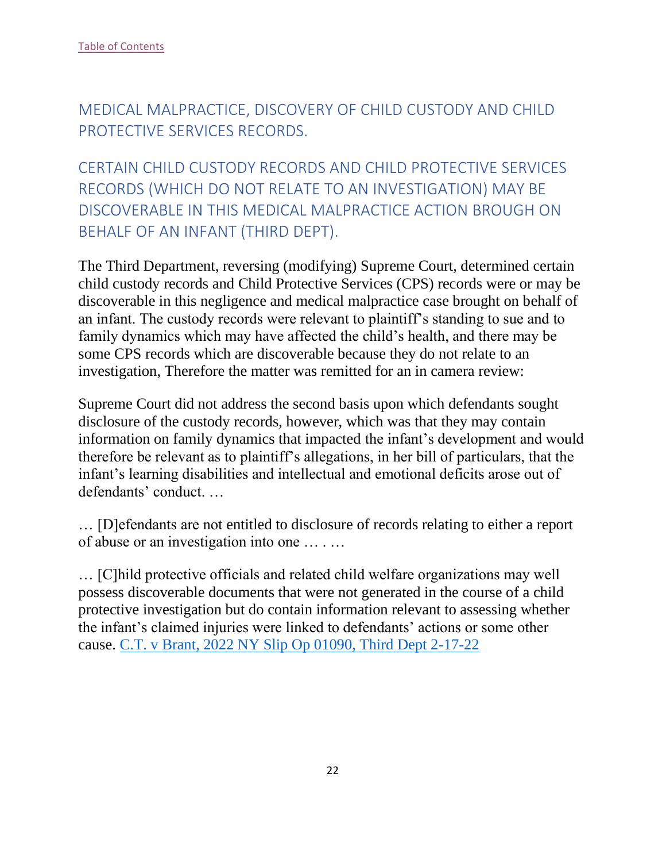<span id="page-22-0"></span>MEDICAL MALPRACTICE, DISCOVERY OF CHILD CUSTODY AND CHILD PROTECTIVE SERVICES RECORDS.

<span id="page-22-1"></span>CERTAIN CHILD CUSTODY RECORDS AND CHILD PROTECTIVE SERVICES RECORDS (WHICH DO NOT RELATE TO AN INVESTIGATION) MAY BE DISCOVERABLE IN THIS MEDICAL MALPRACTICE ACTION BROUGH ON BEHALF OF AN INFANT (THIRD DEPT).

The Third Department, reversing (modifying) Supreme Court, determined certain child custody records and Child Protective Services (CPS) records were or may be discoverable in this negligence and medical malpractice case brought on behalf of an infant. The custody records were relevant to plaintiff's standing to sue and to family dynamics which may have affected the child's health, and there may be some CPS records which are discoverable because they do not relate to an investigation, Therefore the matter was remitted for an in camera review:

Supreme Court did not address the second basis upon which defendants sought disclosure of the custody records, however, which was that they may contain information on family dynamics that impacted the infant's development and would therefore be relevant as to plaintiff's allegations, in her bill of particulars, that the infant's learning disabilities and intellectual and emotional deficits arose out of defendants' conduct. …

… [D]efendants are not entitled to disclosure of records relating to either a report of abuse or an investigation into one … . …

… [C]hild protective officials and related child welfare organizations may well possess discoverable documents that were not generated in the course of a child protective investigation but do contain information relevant to assessing whether the infant's claimed injuries were linked to defendants' actions or some other cause. [C.T. v Brant, 2022 NY Slip Op 01090, Third Dept 2-17-22](https://nycourts.gov/reporter/3dseries/2022/2022_01090.htm)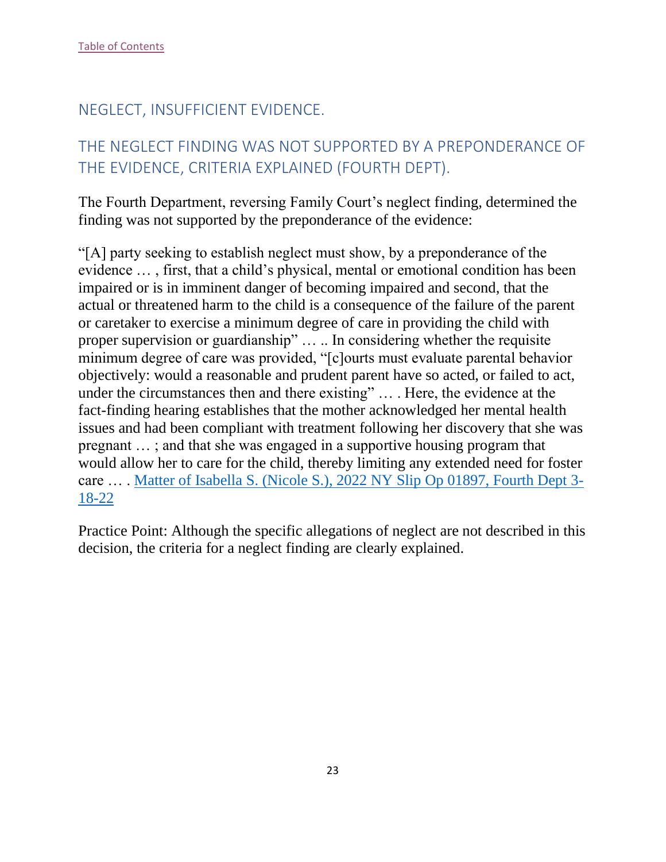## <span id="page-23-0"></span>NEGLECT, INSUFFICIENT EVIDENCE.

## <span id="page-23-1"></span>THE NEGLECT FINDING WAS NOT SUPPORTED BY A PREPONDERANCE OF THE EVIDENCE, CRITERIA EXPLAINED (FOURTH DEPT).

The Fourth Department, reversing Family Court's neglect finding, determined the finding was not supported by the preponderance of the evidence:

"[A] party seeking to establish neglect must show, by a preponderance of the evidence … , first, that a child's physical, mental or emotional condition has been impaired or is in imminent danger of becoming impaired and second, that the actual or threatened harm to the child is a consequence of the failure of the parent or caretaker to exercise a minimum degree of care in providing the child with proper supervision or guardianship" … .. In considering whether the requisite minimum degree of care was provided, "[c]ourts must evaluate parental behavior objectively: would a reasonable and prudent parent have so acted, or failed to act, under the circumstances then and there existing" … . Here, the evidence at the fact-finding hearing establishes that the mother acknowledged her mental health issues and had been compliant with treatment following her discovery that she was pregnant … ; and that she was engaged in a supportive housing program that would allow her to care for the child, thereby limiting any extended need for foster care … . [Matter of Isabella S. \(Nicole S.\), 2022 NY Slip Op 01897, Fourth Dept 3-](https://nycourts.gov/reporter/3dseries/2022/2022_01897.htm) [18-22](https://nycourts.gov/reporter/3dseries/2022/2022_01897.htm)

Practice Point: Although the specific allegations of neglect are not described in this decision, the criteria for a neglect finding are clearly explained.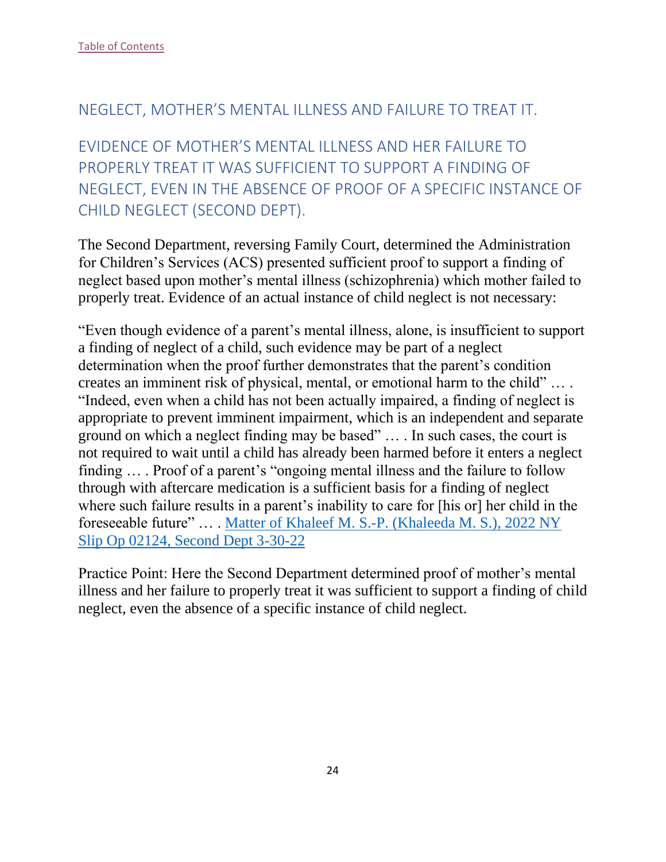#### <span id="page-24-0"></span>NEGLECT, MOTHER'S MENTAL ILLNESS AND FAILURE TO TREAT IT.

<span id="page-24-1"></span>EVIDENCE OF MOTHER'S MENTAL ILLNESS AND HER FAILURE TO PROPERLY TREAT IT WAS SUFFICIENT TO SUPPORT A FINDING OF NEGLECT, EVEN IN THE ABSENCE OF PROOF OF A SPECIFIC INSTANCE OF CHILD NEGLECT (SECOND DEPT).

The Second Department, reversing Family Court, determined the Administration for Children's Services (ACS) presented sufficient proof to support a finding of neglect based upon mother's mental illness (schizophrenia) which mother failed to properly treat. Evidence of an actual instance of child neglect is not necessary:

"Even though evidence of a parent's mental illness, alone, is insufficient to support a finding of neglect of a child, such evidence may be part of a neglect determination when the proof further demonstrates that the parent's condition creates an imminent risk of physical, mental, or emotional harm to the child" … . "Indeed, even when a child has not been actually impaired, a finding of neglect is appropriate to prevent imminent impairment, which is an independent and separate ground on which a neglect finding may be based" … . In such cases, the court is not required to wait until a child has already been harmed before it enters a neglect finding … . Proof of a parent's "ongoing mental illness and the failure to follow through with aftercare medication is a sufficient basis for a finding of neglect where such failure results in a parent's inability to care for [his or] her child in the foreseeable future" … . [Matter of Khaleef M. S.-P. \(Khaleeda M. S.\), 2022 NY](https://nycourts.gov/reporter/3dseries/2022/2022_02124.htm)  [Slip Op 02124, Second Dept 3-30-22](https://nycourts.gov/reporter/3dseries/2022/2022_02124.htm)

Practice Point: Here the Second Department determined proof of mother's mental illness and her failure to properly treat it was sufficient to support a finding of child neglect, even the absence of a specific instance of child neglect.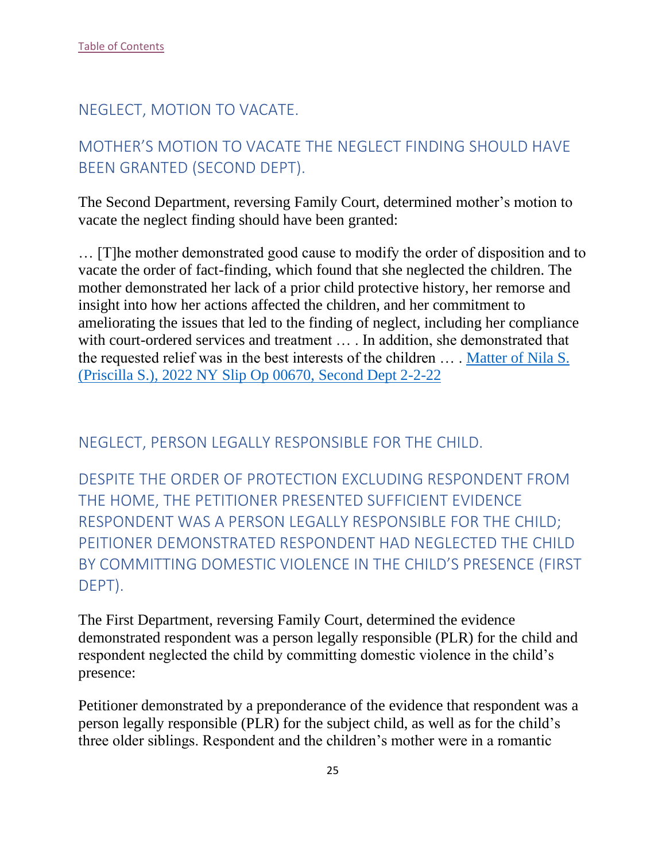## <span id="page-25-0"></span>NEGLECT, MOTION TO VACATE.

# <span id="page-25-1"></span>MOTHER'S MOTION TO VACATE THE NEGLECT FINDING SHOULD HAVE BEEN GRANTED (SECOND DEPT).

The Second Department, reversing Family Court, determined mother's motion to vacate the neglect finding should have been granted:

… [T]he mother demonstrated good cause to modify the order of disposition and to vacate the order of fact-finding, which found that she neglected the children. The mother demonstrated her lack of a prior child protective history, her remorse and insight into how her actions affected the children, and her commitment to ameliorating the issues that led to the finding of neglect, including her compliance with court-ordered services and treatment ... . In addition, she demonstrated that the requested relief was in the best interests of the children … . [Matter of Nila S.](https://nycourts.gov/reporter/3dseries/2022/2022_00670.htm)  [\(Priscilla S.\), 2022 NY Slip Op 00670,](https://nycourts.gov/reporter/3dseries/2022/2022_00670.htm) Second Dept 2-2-22

<span id="page-25-2"></span>NEGLECT, PERSON LEGALLY RESPONSIBLE FOR THE CHILD.

<span id="page-25-3"></span>DESPITE THE ORDER OF PROTECTION EXCLUDING RESPONDENT FROM THE HOME, THE PETITIONER PRESENTED SUFFICIENT EVIDENCE RESPONDENT WAS A PERSON LEGALLY RESPONSIBLE FOR THE CHILD; PEITIONER DEMONSTRATED RESPONDENT HAD NEGLECTED THE CHILD BY COMMITTING DOMESTIC VIOLENCE IN THE CHILD'S PRESENCE (FIRST DEPT).

The First Department, reversing Family Court, determined the evidence demonstrated respondent was a person legally responsible (PLR) for the child and respondent neglected the child by committing domestic violence in the child's presence:

Petitioner demonstrated by a preponderance of the evidence that respondent was a person legally responsible (PLR) for the subject child, as well as for the child's three older siblings. Respondent and the children's mother were in a romantic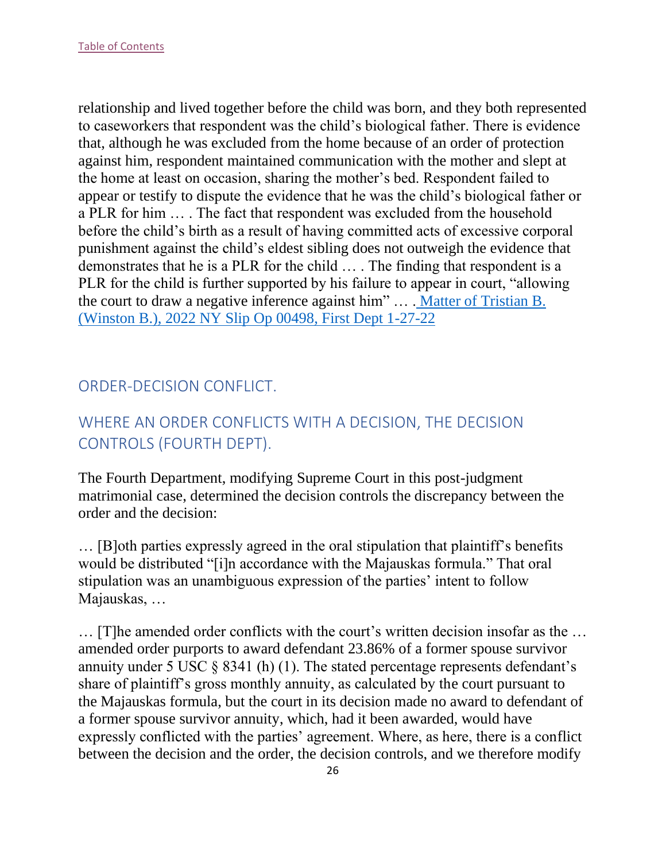relationship and lived together before the child was born, and they both represented to caseworkers that respondent was the child's biological father. There is evidence that, although he was excluded from the home because of an order of protection against him, respondent maintained communication with the mother and slept at the home at least on occasion, sharing the mother's bed. Respondent failed to appear or testify to dispute the evidence that he was the child's biological father or a PLR for him … . The fact that respondent was excluded from the household before the child's birth as a result of having committed acts of excessive corporal punishment against the child's eldest sibling does not outweigh the evidence that demonstrates that he is a PLR for the child … . The finding that respondent is a PLR for the child is further supported by his failure to appear in court, "allowing the court to draw a negative inference against him" … . [Matter of Tristian B.](https://nycourts.gov/reporter/3dseries/2022/2022_00498.htm)  [\(Winston B.\), 2022 NY Slip Op 00498, First Dept 1-27-22](https://nycourts.gov/reporter/3dseries/2022/2022_00498.htm)

## <span id="page-26-0"></span>ORDER-DECISION CONFLICT.

# <span id="page-26-1"></span>WHERE AN ORDER CONFLICTS WITH A DECISION, THE DECISION CONTROLS (FOURTH DEPT).

The Fourth Department, modifying Supreme Court in this post-judgment matrimonial case, determined the decision controls the discrepancy between the order and the decision:

… [B]oth parties expressly agreed in the oral stipulation that plaintiff's benefits would be distributed "[i]n accordance with the Majauskas formula." That oral stipulation was an unambiguous expression of the parties' intent to follow Majauskas, …

… [T]he amended order conflicts with the court's written decision insofar as the … amended order purports to award defendant 23.86% of a former spouse survivor annuity under 5 USC § 8341 (h) (1). The stated percentage represents defendant's share of plaintiff's gross monthly annuity, as calculated by the court pursuant to the Majauskas formula, but the court in its decision made no award to defendant of a former spouse survivor annuity, which, had it been awarded, would have expressly conflicted with the parties' agreement. Where, as here, there is a conflict between the decision and the order, the decision controls, and we therefore modify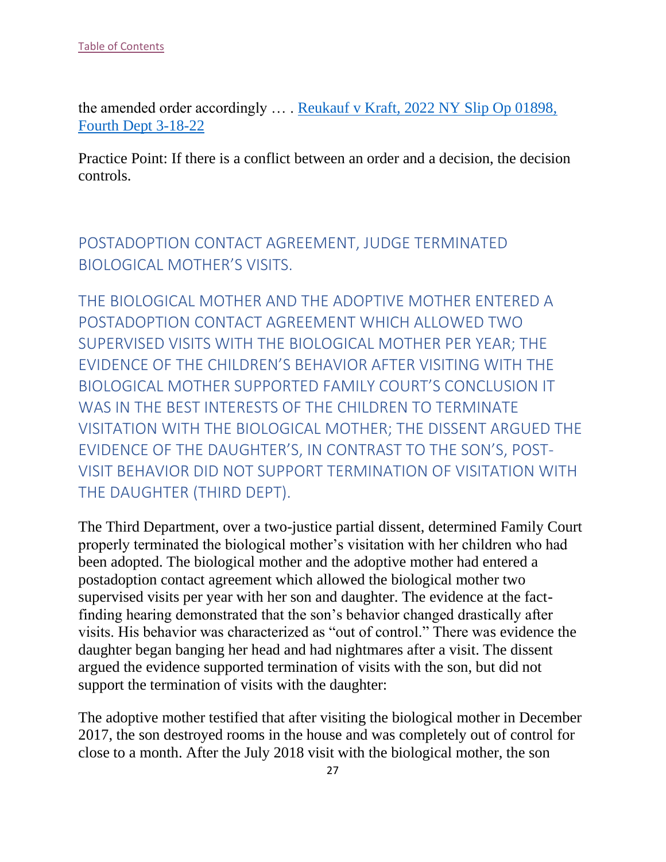the amended order accordingly … . [Reukauf v Kraft, 2022 NY Slip Op 01898,](https://nycourts.gov/reporter/3dseries/2022/2022_01898.htm)  [Fourth Dept 3-18-22](https://nycourts.gov/reporter/3dseries/2022/2022_01898.htm)

Practice Point: If there is a conflict between an order and a decision, the decision controls.

<span id="page-27-0"></span>POSTADOPTION CONTACT AGREEMENT, JUDGE TERMINATED BIOLOGICAL MOTHER'S VISITS.

<span id="page-27-1"></span>THE BIOLOGICAL MOTHER AND THE ADOPTIVE MOTHER ENTERED A POSTADOPTION CONTACT AGREEMENT WHICH ALLOWED TWO SUPERVISED VISITS WITH THE BIOLOGICAL MOTHER PER YEAR; THE EVIDENCE OF THE CHILDREN'S BEHAVIOR AFTER VISITING WITH THE BIOLOGICAL MOTHER SUPPORTED FAMILY COURT'S CONCLUSION IT WAS IN THE BEST INTERESTS OF THE CHILDREN TO TERMINATE VISITATION WITH THE BIOLOGICAL MOTHER; THE DISSENT ARGUED THE EVIDENCE OF THE DAUGHTER'S, IN CONTRAST TO THE SON'S, POST-VISIT BEHAVIOR DID NOT SUPPORT TERMINATION OF VISITATION WITH THE DAUGHTER (THIRD DEPT).

The Third Department, over a two-justice partial dissent, determined Family Court properly terminated the biological mother's visitation with her children who had been adopted. The biological mother and the adoptive mother had entered a postadoption contact agreement which allowed the biological mother two supervised visits per year with her son and daughter. The evidence at the factfinding hearing demonstrated that the son's behavior changed drastically after visits. His behavior was characterized as "out of control." There was evidence the daughter began banging her head and had nightmares after a visit. The dissent argued the evidence supported termination of visits with the son, but did not support the termination of visits with the daughter:

The adoptive mother testified that after visiting the biological mother in December 2017, the son destroyed rooms in the house and was completely out of control for close to a month. After the July 2018 visit with the biological mother, the son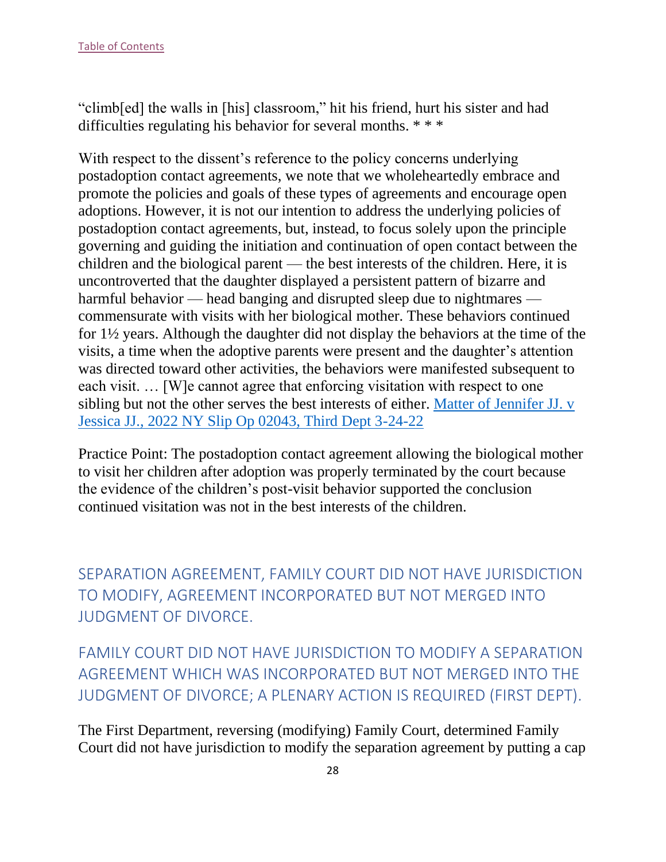"climb[ed] the walls in [his] classroom," hit his friend, hurt his sister and had difficulties regulating his behavior for several months. \* \* \*

With respect to the dissent's reference to the policy concerns underlying postadoption contact agreements, we note that we wholeheartedly embrace and promote the policies and goals of these types of agreements and encourage open adoptions. However, it is not our intention to address the underlying policies of postadoption contact agreements, but, instead, to focus solely upon the principle governing and guiding the initiation and continuation of open contact between the children and the biological parent — the best interests of the children. Here, it is uncontroverted that the daughter displayed a persistent pattern of bizarre and harmful behavior — head banging and disrupted sleep due to nightmares commensurate with visits with her biological mother. These behaviors continued for 1½ years. Although the daughter did not display the behaviors at the time of the visits, a time when the adoptive parents were present and the daughter's attention was directed toward other activities, the behaviors were manifested subsequent to each visit. … [W]e cannot agree that enforcing visitation with respect to one sibling but not the other serves the best interests of either. [Matter of Jennifer JJ. v](https://nycourts.gov/reporter/3dseries/2022/2022_02043.htm)  [Jessica JJ., 2022 NY Slip Op 02043, Third Dept 3-24-22](https://nycourts.gov/reporter/3dseries/2022/2022_02043.htm)

Practice Point: The postadoption contact agreement allowing the biological mother to visit her children after adoption was properly terminated by the court because the evidence of the children's post-visit behavior supported the conclusion continued visitation was not in the best interests of the children.

<span id="page-28-0"></span>SEPARATION AGREEMENT, FAMILY COURT DID NOT HAVE JURISDICTION TO MODIFY, AGREEMENT INCORPORATED BUT NOT MERGED INTO JUDGMENT OF DIVORCE.

<span id="page-28-1"></span>FAMILY COURT DID NOT HAVE JURISDICTION TO MODIFY A SEPARATION AGREEMENT WHICH WAS INCORPORATED BUT NOT MERGED INTO THE JUDGMENT OF DIVORCE; A PLENARY ACTION IS REQUIRED (FIRST DEPT).

The First Department, reversing (modifying) Family Court, determined Family Court did not have jurisdiction to modify the separation agreement by putting a cap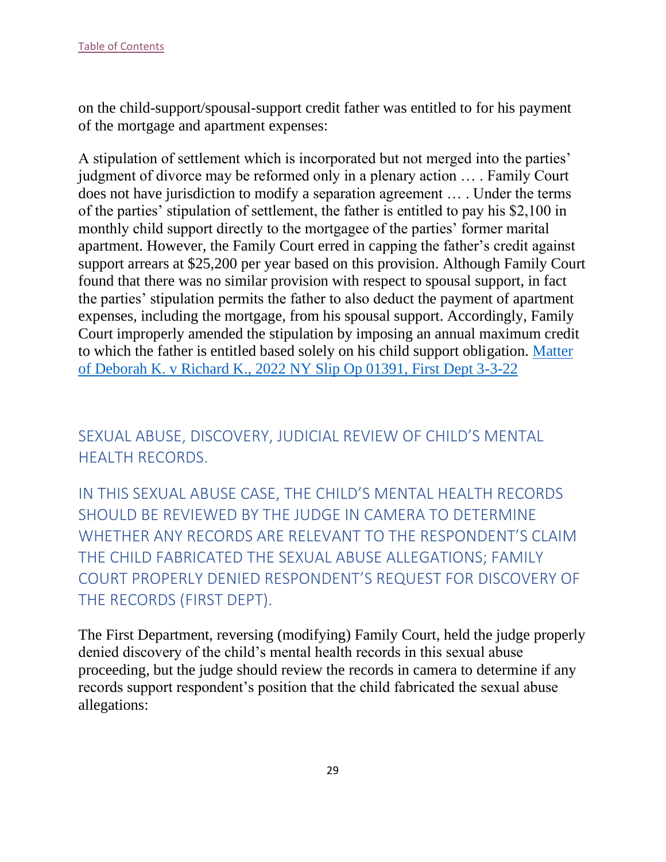on the child-support/spousal-support credit father was entitled to for his payment of the mortgage and apartment expenses:

A stipulation of settlement which is incorporated but not merged into the parties' judgment of divorce may be reformed only in a plenary action … . Family Court does not have jurisdiction to modify a separation agreement … . Under the terms of the parties' stipulation of settlement, the father is entitled to pay his \$2,100 in monthly child support directly to the mortgagee of the parties' former marital apartment. However, the Family Court erred in capping the father's credit against support arrears at \$25,200 per year based on this provision. Although Family Court found that there was no similar provision with respect to spousal support, in fact the parties' stipulation permits the father to also deduct the payment of apartment expenses, including the mortgage, from his spousal support. Accordingly, Family Court improperly amended the stipulation by imposing an annual maximum credit to which the father is entitled based solely on his child support obligation. [Matter](https://nycourts.gov/reporter/3dseries/2022/2022_01391.htm)  [of Deborah K. v Richard K., 2022 NY Slip Op 01391, First Dept 3-3-22](https://nycourts.gov/reporter/3dseries/2022/2022_01391.htm)

<span id="page-29-0"></span>SEXUAL ABUSE, DISCOVERY, JUDICIAL REVIEW OF CHILD'S MENTAL HEALTH RECORDS.

<span id="page-29-1"></span>IN THIS SEXUAL ABUSE CASE, THE CHILD'S MENTAL HEALTH RECORDS SHOULD BE REVIEWED BY THE JUDGE IN CAMERA TO DETERMINE WHETHER ANY RECORDS ARE RELEVANT TO THE RESPONDENT'S CLAIM THE CHILD FABRICATED THE SEXUAL ABUSE ALLEGATIONS; FAMILY COURT PROPERLY DENIED RESPONDENT'S REQUEST FOR DISCOVERY OF THE RECORDS (FIRST DEPT).

The First Department, reversing (modifying) Family Court, held the judge properly denied discovery of the child's mental health records in this sexual abuse proceeding, but the judge should review the records in camera to determine if any records support respondent's position that the child fabricated the sexual abuse allegations: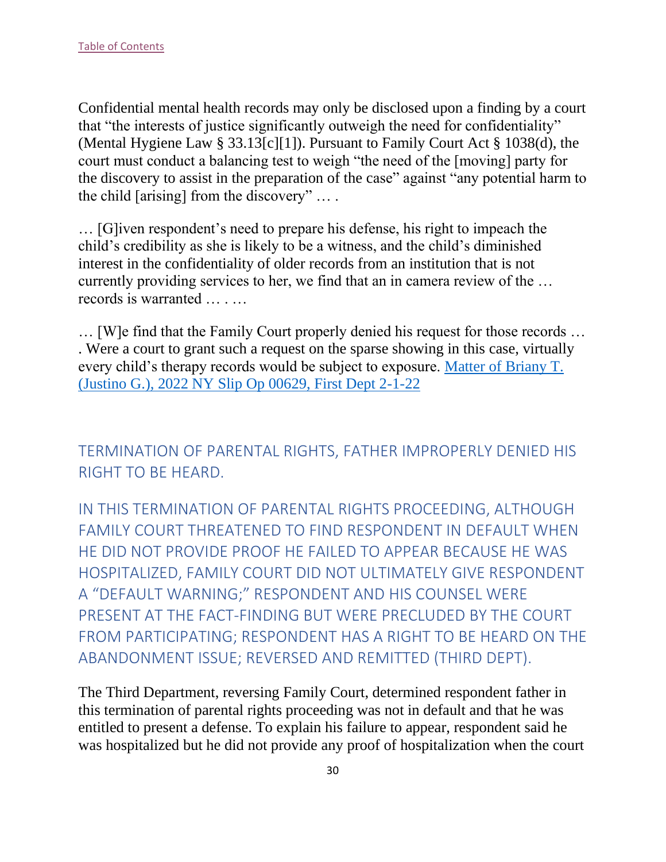Confidential mental health records may only be disclosed upon a finding by a court that "the interests of justice significantly outweigh the need for confidentiality" (Mental Hygiene Law § 33.13[c][1]). Pursuant to Family Court Act § 1038(d), the court must conduct a balancing test to weigh "the need of the [moving] party for the discovery to assist in the preparation of the case" against "any potential harm to the child [arising] from the discovery" … .

… [G]iven respondent's need to prepare his defense, his right to impeach the child's credibility as she is likely to be a witness, and the child's diminished interest in the confidentiality of older records from an institution that is not currently providing services to her, we find that an in camera review of the … records is warranted … . …

… [W]e find that the Family Court properly denied his request for those records … . Were a court to grant such a request on the sparse showing in this case, virtually every child's therapy records would be subject to exposure. Matter of Briany T. (Justino G.), 2022 NY Slip Op 00629, First Dept 2-1-22

<span id="page-30-0"></span>TERMINATION OF PARENTAL RIGHTS, FATHER IMPROPERLY DENIED HIS RIGHT TO BE HEARD.

<span id="page-30-1"></span>IN THIS TERMINATION OF PARENTAL RIGHTS PROCEEDING, ALTHOUGH FAMILY COURT THREATENED TO FIND RESPONDENT IN DEFAULT WHEN HE DID NOT PROVIDE PROOF HE FAILED TO APPEAR BECAUSE HE WAS HOSPITALIZED, FAMILY COURT DID NOT ULTIMATELY GIVE RESPONDENT A "DEFAULT WARNING;" RESPONDENT AND HIS COUNSEL WERE PRESENT AT THE FACT-FINDING BUT WERE PRECLUDED BY THE COURT FROM PARTICIPATING; RESPONDENT HAS A RIGHT TO BE HEARD ON THE ABANDONMENT ISSUE; REVERSED AND REMITTED (THIRD DEPT).

The Third Department, reversing Family Court, determined respondent father in this termination of parental rights proceeding was not in default and that he was entitled to present a defense. To explain his failure to appear, respondent said he was hospitalized but he did not provide any proof of hospitalization when the court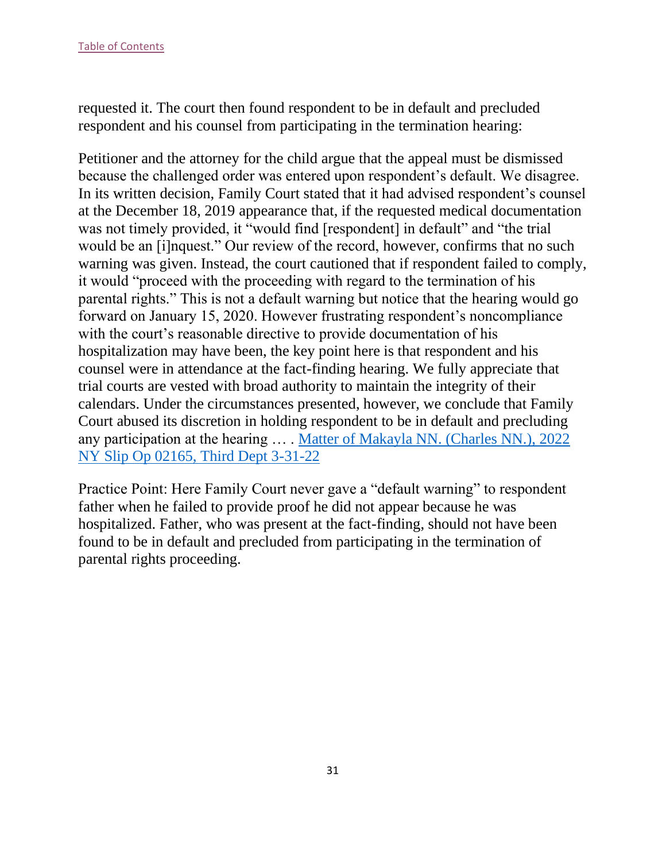requested it. The court then found respondent to be in default and precluded respondent and his counsel from participating in the termination hearing:

Petitioner and the attorney for the child argue that the appeal must be dismissed because the challenged order was entered upon respondent's default. We disagree. In its written decision, Family Court stated that it had advised respondent's counsel at the December 18, 2019 appearance that, if the requested medical documentation was not timely provided, it "would find [respondent] in default" and "the trial would be an [i]nquest." Our review of the record, however, confirms that no such warning was given. Instead, the court cautioned that if respondent failed to comply, it would "proceed with the proceeding with regard to the termination of his parental rights." This is not a default warning but notice that the hearing would go forward on January 15, 2020. However frustrating respondent's noncompliance with the court's reasonable directive to provide documentation of his hospitalization may have been, the key point here is that respondent and his counsel were in attendance at the fact-finding hearing. We fully appreciate that trial courts are vested with broad authority to maintain the integrity of their calendars. Under the circumstances presented, however, we conclude that Family Court abused its discretion in holding respondent to be in default and precluding any participation at the hearing … . Matter of Makayla NN. (Charles NN.), 2022 NY Slip Op 02165, Third Dept 3-31-22

Practice Point: Here Family Court never gave a "default warning" to respondent father when he failed to provide proof he did not appear because he was hospitalized. Father, who was present at the fact-finding, should not have been found to be in default and precluded from participating in the termination of parental rights proceeding.